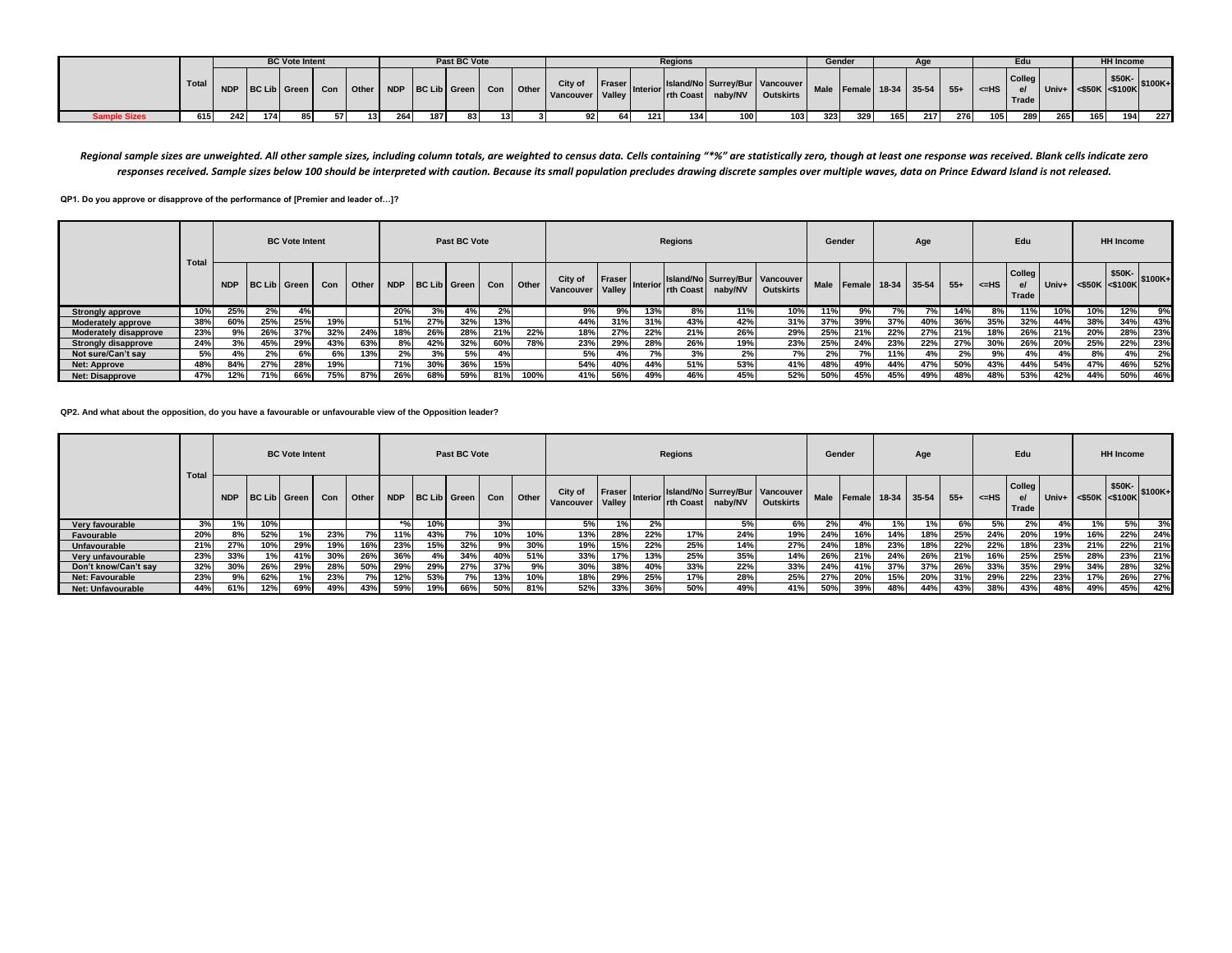|                     |     |     |     | <b>BC Vote Intent</b> |      |    |     |     | Past BC Vote |  |                                                                                 |      |      | <b>Regions</b> |     |                                                                                                                |     | Gender |     |     |     |            | Edu                   |     |     | <b>HH Income</b> |                                                               |
|---------------------|-----|-----|-----|-----------------------|------|----|-----|-----|--------------|--|---------------------------------------------------------------------------------|------|------|----------------|-----|----------------------------------------------------------------------------------------------------------------|-----|--------|-----|-----|-----|------------|-----------------------|-----|-----|------------------|---------------------------------------------------------------|
|                     |     |     |     |                       |      |    |     |     |              |  | NDP BC Lib Green Con Other NDP BC Lib Green Con Other Vancouver Valley Interior |      |      |                |     | Ilefariar Saland/No Surrey/Bur Vancouver Male Female 18-34 35-54 55+ 1<br>Interior rth Coast naby/NV Outskirts |     |        |     |     |     | $\leq$ -HS | Collea<br>e/<br>Trade |     |     | \$50K-           | $\vert$ Univ+ $\vert$ <\$50K $\vert$ <\$100K $\vert$ \$100K + |
| <b>Sample Sizes</b> | 615 | 242 | 174 | 85 I                  | 57 I | 13 | 264 | 187 | 83           |  | 92 <sub>l</sub>                                                                 | 64 I | 1211 | 134            | 100 | 103                                                                                                            | 323 | 329    | 165 | 217 | 276 | 105        | 289                   | 265 | 165 | 194              | 227                                                           |

Regional sample sizes are unweighted. All other sample sizes, including column totals, are weighted to census data. Cells containing "\*%" are statistically zero, though at least one response was received. Blank cells indic *responses received. Sample sizes below 100 should be interpreted with caution. Because its small population precludes drawing discrete samples over multiple waves, data on Prince Edward Island is not released.*

**QP1. Do you approve or disapprove of the performance of [Premier and leader of…]?**

|                            |       |            |                     | <b>BC Vote Intent</b> |     |              |            |              | Past BC Vote |     |       |                      |                  |                       | <b>Regions</b> |                                           |                  | Gender      |                    |     | Age |       |         | Edu                                    |     |                        | <b>HH Income</b> |         |
|----------------------------|-------|------------|---------------------|-----------------------|-----|--------------|------------|--------------|--------------|-----|-------|----------------------|------------------|-----------------------|----------------|-------------------------------------------|------------------|-------------|--------------------|-----|-----|-------|---------|----------------------------------------|-----|------------------------|------------------|---------|
|                            | Total | <b>NDP</b> | <b>BC Lib</b> Green |                       | Con | <b>Other</b> | <b>NDP</b> | BC Lib Green |              | Con | Other | City of<br>Vancouver | Fraser<br>Valley | Interior <sup>1</sup> | rth Coast      | Island/No Surrey/Bur Vancouver<br>naby/NV | <b>Outskirts</b> | <b>Male</b> | Female 18-34 35-54 |     |     | $55+$ | $<=$ HS | Colleg<br>$\mathbf{e}$<br><b>Trade</b> |     | $Univ+$ <\$50K <\$100K | \$50K-           | \$100K+ |
| <b>Strongly approve</b>    | 10%   | 25%        | 2%                  | 4%                    |     |              | 20%        | 3%           | 4%           | 2%  |       | 9%                   | 9%               | 13%                   | 8%             | 11%                                       | 10%              | 11%         | 9% l               |     | 7%  | 14%   | 8%      | 11%                                    | 10% | 10%                    | 12%              | 9%      |
| Moderately approve         | 38%   | 60%        | 25%                 | 25%                   | 19% |              | 51%        | 27%          | 32%          | 13% |       | 44%                  | 31%              | 31%                   | 43%            | 42%                                       | 31%              | 37%         | 39%                | 37% | 40% | 36%   | 35%     | 32%                                    | 44% | 38%                    | 34%              | 43%     |
| Moderately disapprove      | 23%   | 9% l       | 26%                 | 37%                   | 32% | 24%          | 18%        | 26%          | 28%          | 21% | 22%   | 18%                  | 27%              | 22%                   | 21%            | 26%                                       | 29%              | 25%         | 21%                | 22% | 27% | 21%   | 18%     | 26%                                    | 21% | 20%                    | 28%              | 23%     |
| <b>Strongly disapprove</b> | 24%   | 3%         | 45%                 | 29%                   | 43% | 63%          | 8%         | 42%          | 32%          | 60% | 78%   | 23%                  | 29%              | 28%                   | 26%            | 19%                                       | 23%              | 25%         | 24%                | 23% | 22% | 27%   | 30%     | 26%                                    | 20% | 25%                    | 22%              | 23%     |
| Not sure/Can't sav         | 5%    | 4%         | 2%                  | 6%                    | 6%  | 13%          | 2%         | 3%           | 5%           | 4%  |       | 5%                   | 4%               | 7%                    | 3%             | 2%                                        | 7%               | 2%          | 7% l               | 11% | 4%  | 2%    | 9%      | 4%                                     | 4%  | 8%                     | 4%               | 2%      |
| <b>Net: Approve</b>        | 48%   | 84%        | 27%                 | 28%                   | 19% |              | 71%        | 30%          | 36%          | 15% |       | 54%                  | 40%              | 44%                   | 51%            | 53%                                       | 41%              | 48%         | 49%                | 44% | 47% | 50%   | 43%     | 44%                                    | 54% | 47%                    | 46%              | 52%     |
| Net: Disapprove            | 47%   | 12%        | 71%                 | 66%                   | 75% | 87%          | 26%        | 68%          | 59%          | 81% | 100%  | 41%                  | 56%              | 49%                   | 46%            | 45%                                       | 52%              | 50%         | 45%                | 45% | 49% | 48%   | 48%     | 53%                                    | 42% | 44%                    | 50%              | 46%     |

**QP2. And what about the opposition, do you have a favourable or unfavourable view of the Opposition leader?**

|                          | <b>Total</b> |     |     | <b>BC Vote Intent</b> |     |         |       |                  | Past BC Vote |     |         |                      |                    |                 | <b>Regions</b> |                                           |                  |             | Gender             |      | Age |       |           | Edu                          |     |                      | <b>HH Income</b> |                 |
|--------------------------|--------------|-----|-----|-----------------------|-----|---------|-------|------------------|--------------|-----|---------|----------------------|--------------------|-----------------|----------------|-------------------------------------------|------------------|-------------|--------------------|------|-----|-------|-----------|------------------------------|-----|----------------------|------------------|-----------------|
|                          |              |     |     | NDP BC Lib Green      | Con | l Other |       | NDP BC Lib Green |              | Con | Other I | City of<br>Vancouver | Fraser  <br>Valley | <b>Interior</b> | rth Coast      | Island/No Surrey/Bur Vancouver<br>naby/NV | <b>Outskirts</b> | <b>Male</b> | Female 18-34 35-54 |      |     | $55+$ | $<$ $H$ S | <b>Colleg</b><br>e/<br>Trade |     | Univ+ <\$50K <\$100K |                  | $$50K-$ \$100K+ |
| Very favourable          | 3%           | 1%  | 10% |                       |     |         | $*$ % | 10%              |              | 3%  |         | 5%                   | 1% l               | 2%              |                | 5%                                        | 6%               | 2%          | 4%                 | 1% I |     | 6%    | 5%        | 2%                           | 4%  |                      | 5%               | 3%              |
| Favourable               | 20%          | 8%  | 52% |                       | 23% | 7%      | 11%   | 43%              |              | 10% | 10%     | 13%                  | 28%                | 22%             | 17%            | 24%                                       | 19%              | 24%         | 16%                | 14%  | 18% | 25%   | 24%       | 20%                          | 19% | 16%                  | 22%              | 24%             |
| <b>Unfavourable</b>      | 21%          | 27% | 10% | 29%                   | 19% | 16%     | 23%   | 15%              | 32%          | 9%  | 30%     | 19%                  | 15%                | 22%             | 25%            | 14%                                       | 27%              | 24%         | 18%                | 23%  | 18% | 22%   | 22%       | 18%                          | 23% | 21%                  | 22%              | 21%             |
| Very unfavourable        | 23%          | 33% | 1%  | 41%                   | 30% | 26%     | 36%   | 4%               | 34%          | 40% | 51%     | 33%                  | 17%                | 13%             | 25%            | 35%                                       | 14%              | 26%         | 21%                | 24%  | 26% | 21%   | 16%       | 25%                          | 25% | 28%                  | 23%              | 21%             |
| Don't know/Can't sav     | 32%          | 30% | 26% | 29%                   | 28% | 50%     | 29%   | 29%              | 27%          | 37% | 9%      | 30%                  | 38%                | 40%             | 33%            | 22%                                       | 33%              | 24%         | 41%                | 37%  | 37% | 26%   | 33%       | 35%                          | 29% | 34%                  | 28%              | 32%             |
| Net: Favourable          | 23%          | 9%  | 62% |                       | 23% | 7%      | 12%   | 53%              |              | 13% | 10%     | 18%                  | 29%                | 25%             | 17%            | 28%                                       | 25%              | 27%         | 20%                | 15%  | 20% | 31%   | 29%       | 22%                          | 23% | 17%                  | 26%              | 27%             |
| <b>Net: Unfavourable</b> | 44%          | 61% | 12% | 69%                   | 49% | 43%     | 59%   | 19%              | 66%          | 50% | 81%     | 52%                  | 33%                | 36%             | 50%            | 49%                                       | 41%              | 50%         | 39%                | 48%  | 44% | 43%   | 38%       | 43%                          | 48% | 49%                  | 45%              | 42%             |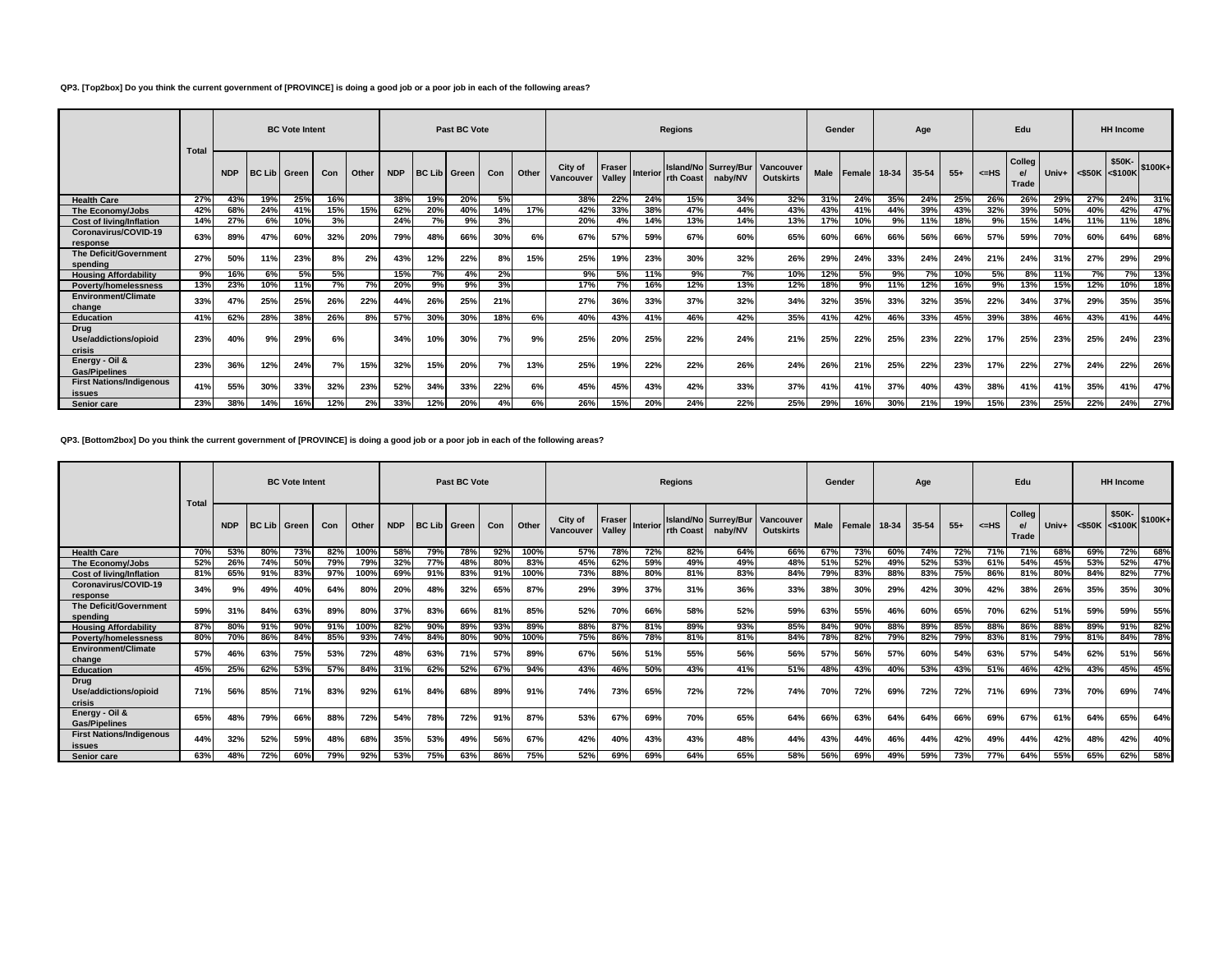## **QP3. [Top2box] Do you think the current government of [PROVINCE] is doing a good job or a poor job in each of the following areas?**

|                                           | <b>Total</b> |            |                     | <b>BC Vote Intent</b> |     |       |            |                       | Past BC Vote |     |       |                      |                         |                 | <b>Regions</b>  |                                 |                               | Gender      |               |       | Age   |       |           | Edu                             |       |                        | <b>HH Income</b> |         |
|-------------------------------------------|--------------|------------|---------------------|-----------------------|-----|-------|------------|-----------------------|--------------|-----|-------|----------------------|-------------------------|-----------------|-----------------|---------------------------------|-------------------------------|-------------|---------------|-------|-------|-------|-----------|---------------------------------|-------|------------------------|------------------|---------|
|                                           |              | <b>NDP</b> | <b>BC Lib Green</b> |                       | Con | Other | <b>NDP</b> | <b>BC Lib   Green</b> |              | Con | Other | City of<br>Vancouver | <b>Fraser</b><br>Valley | <b>Interior</b> | <b>In Coast</b> | Island/No Surrey/Bur<br>nabv/NV | Vancouver<br><b>Outskirts</b> | <b>Male</b> | <b>Female</b> | 18-34 | 35-54 | $55+$ | $<$ $-HS$ | Colleg<br>$\mathbf{e}$<br>Trade | Univ+ | $ $ <\$50K $ $ <\$100K | \$50K-           | \$100K+ |
| <b>Health Care</b>                        | 27%          | 43%        | 19%                 | 25%                   | 16% |       | 38%        | 19%                   | 20%          | 5%  |       | 38%                  | 22%                     | 24%             | 15%             | 34%                             | 32%                           | 31%         | 24%           | 35%   | 24%   | 25%   | 26%       | 26%                             | 29%   | 27%                    | 24%              | 31%     |
| The Economy/Jobs                          | 42%          | 68%        | 24%                 | 41%                   | 15% | 15%   | 62%        | 20%                   | 40%          | 14% | 17%   | 42%                  | 33%                     | 38%             | 47%             | 44%                             | 43%                           | 43%         | 41%           | 44%   | 39%   | 43%   | 32%       | 39%                             | 50%   | 40%                    | 42%              | 47%     |
| <b>Cost of living/Inflation</b>           | 14%          | 27%        | 6%                  | 10%                   | 3%  |       | 24%        | 7%                    | 9%           | 3%  |       | 20%                  | 4%                      | 14%             | 13%             | 14%                             | 13%                           | 17%         | 10%           | 9%    | 11%   | 18%   | 9%        | 15%                             | 14%   | 11%                    | 11%              | 18%     |
| Coronavirus/COVID-19<br>response          | 63%          | 89%        | 47%                 | 60%                   | 32% | 20%   | 79%        | 48%                   | 66%          | 30% | 6%    | 67%                  | 57%                     | 59%             | 67%             | 60%                             | 65%                           | 60%         | 66%           | 66%   | 56%   | 66%   | 57%       | 59%                             | 70%   | 60%                    | 64%              | 68%     |
| The Deficit/Government<br>spending        | 27%          | 50%        | 11%                 | 23%                   | 8%  | 2%    | 43%        | 12%                   | 22%          | 8%  | 15%   | 25%                  | 19%                     | 23%             | 30%             | 32%                             | 26%                           | 29%         | 24%           | 33%   | 24%   | 24%   | 21%       | 24%                             | 31%   | 27%                    | 29%              | 29%     |
| <b>Housing Affordability</b>              | 9%           | 16%        | 6%                  | 5%                    | 5%  |       | 15%        | 7%                    | 4%           | 2%  |       | 9%                   | 5%                      | 11%             | 9%              | 7%                              | 10%                           | 12%         | 5%            | 9%    | 7%    | 10%   | 5%        | 8%                              | 11%   | 7%                     | <b>7%</b>        | 13%     |
| <b>Poverty/homelessness</b>               | 13%          | 23%        | 10%                 | 11%                   | 7%  | 7%    | 20%        | 9%                    | 9%           | 3%  |       | 17%                  | 7%                      | 16%             | 12%             | 13%                             | 12%                           | 18%         | 9%            | 11%   | 12%   | 16%   | 9%        | 13%                             | 15%   | 12%                    | 10%              | 18%     |
| <b>Environment/Climate</b><br>change      | 33%          | 47%        | 25%                 | 25%                   | 26% | 22%   | 44%        | 26%                   | 25%          | 21% |       | 27%                  | 36%                     | 33%             | 37%             | 32%                             | 34%                           | 32%         | 35%           | 33%   | 32%   | 35%   | 22%       | 34%                             | 37%   | 29%                    | 35%              | 35%     |
| <b>Education</b>                          | 41%          | 62%        | 28%                 | 38%                   | 26% | 8%    | 57%        | 30%                   | 30%          | 18% | 6%    | 40%                  | 43%                     | 41%             | 46%             | 42%                             | 35%                           | 41%         | 42%           | 46%   | 33%   | 45%   | 39%       | 38%                             | 46%   | 43%                    | 41%              | 44%     |
| Drug<br>Use/addictions/opioid<br>crisis   | 23%          | 40%        | 9%                  | 29%                   | 6%  |       | 34%        | 10%                   | 30%          | 7%  | 9%    | 25%                  | 20%                     | 25%             | 22%             | 24%                             | 21%                           | 25%         | 22%           | 25%   | 23%   | 22%   | 17%       | 25%                             | 23%   | 25%                    | 24%              | 23%     |
| Energy - Oil &<br><b>Gas/Pipelines</b>    | 23%          | 36%        | 12%                 | 24%                   | 7%  | 15%   | 32%        | 15%                   | 20%          | 7%  | 13%   | 25%                  | 19%                     | 22%             | 22%             | 26%                             | 24%                           | 26%         | 21%           | 25%   | 22%   | 23%   | 17%       | 22%                             | 27%   | 24%                    | 22%              | 26%     |
| <b>First Nations/Indigenous</b><br>issues | 41%          | 55%        | 30%                 | 33%                   | 32% | 23%   | 52%        | 34%                   | 33%          | 22% | 6%    | 45%                  | 45%                     | 43%             | 42%             | 33%                             | 37%                           | 41%         | 41%           | 37%   | 40%   | 43%   | 38%       | 41%                             | 41%   | 35%                    | 41%              | 47%     |
| Senior care                               | 23%          | 38%        | 14%                 | 16%                   | 12% | 2%    | 33%        | 12%                   | 20%          |     | 6%    | 26%                  | 15%                     | 20%             | 24%             | 22%                             | 25%                           | 29%         | 16%           | 30%   | 21%   | 19%   | 15%       | 23%                             | 25%   | 22%                    | 24%              | 27%     |

# **QP3. [Bottom2box] Do you think the current government of [PROVINCE] is doing a good job or a poor job in each of the following areas?**

|                                                  | <b>Total</b> |            |                     | <b>BC Vote Intent</b> |            |       |            |     | Past BC Vote        |     |              |                      |                  |                 | <b>Regions</b> |                                        |                               |             | Gender       |     | Age       |       |        | Edu             |       |                                                               | <b>HH Income</b> |         |
|--------------------------------------------------|--------------|------------|---------------------|-----------------------|------------|-------|------------|-----|---------------------|-----|--------------|----------------------|------------------|-----------------|----------------|----------------------------------------|-------------------------------|-------------|--------------|-----|-----------|-------|--------|-----------------|-------|---------------------------------------------------------------|------------------|---------|
|                                                  |              | <b>NDP</b> | <b>BC Lib Green</b> |                       | Con        | Other | <b>NDP</b> |     | <b>BC Lib</b> Green | Con | <b>Other</b> | City of<br>Vancouver | Fraser<br>Valley | <b>Interior</b> | rth Coast      | <b>Island/No Surrey/Bur</b><br>naby/NV | Vancouver<br><b>Outskirts</b> | <b>Male</b> | Female 18-34 |     | $35 - 54$ | $55+$ | $=$ HS | Colleg<br>Trade | Univ+ | <\$50K <s100k< td=""><td>\$50K-</td><td>\$100K+</td></s100k<> | \$50K-           | \$100K+ |
| <b>Health Care</b>                               | 70%          | 53%        | 80%                 | 73%                   | 82%        | 100%  | 58%        | 79% | 78%                 | 92% | 100%         | 57%                  | 78%              | 72%             | 82%            | 64%                                    | 66%                           | 67%         | 73%          | 60% | 74%       | 72%   | 71%    | 71%             | 68%   | 69%                                                           | 72%              | 68%     |
| The Economy/Jobs                                 | 52%          | 26%        | 74%                 | 50%                   | 79%        | 79%   | 32%        | 77% | 48%                 | 80% | 83%          | 45%                  | 62%              | 59%             | 49%            | 49%                                    | 48%                           | 51%         | 52%          | 49% | 52%       | 53%   | 61%    | 54%             | 45%   | 53%                                                           | 52%              | 47%     |
| <b>Cost of living/Inflation</b>                  | 81%          | 65%        | 91%                 | 83%                   | 97%        | 100%  | 69%        | 91% | 83%                 | 91% | 100%         | 73%                  | 88%              | 80%             | 81%            | 83%                                    | 84%                           | 79%         | 83%          | 88% | 83%       | 75%   | 86%    | 81%             | 80%   | 84%                                                           | 82%              | 77%     |
| Coronavirus/COVID-19<br>response                 | 34%          | 9%         | 49%                 | 40%                   | 64%        | 80%   | 20%        | 48% | 32%                 | 65% | 87%          | 29%                  | 39%              | 37%             | 31%            | 36%                                    | 33%                           | 38%         | 30%          | 29% | 42%       | 30%   | 42%    | 38%             | 26%   | 35%                                                           | 35%              | 30%     |
| The Deficit/Government<br>spending               | 59%          | 31%        | 84%                 | 63%                   | 89%        | 80%   | 37%        | 83% | 66%                 | 81% | 85%          | 52%                  | 70%              | 66%             | 58%            | 52%                                    | 59%                           | 63%         | 55%          | 46% | 60%       | 65%   | 70%    | 62%             | 51%   | 59%                                                           | 59%              | 55%     |
| <b>Housing Affordability</b>                     | 87%          | 80%        | 91%                 | 90%                   | 91%        | 100%  | 82%        | 90% | 89%                 | 93% | 89%          | 88%                  | 87%              | 81%             | 89%            | 93%                                    | 85%                           | 84%         | 90%          | 88% | 89%       | 85%   | 88%    | 86%             | 88%   | 89%                                                           | 91%              | 82%     |
| <b>Poverty/homelessness</b>                      | 80%          | 70%        | 86%                 | 84%                   | 85%        | 93%   | 74%        | 84% | 80%                 | 90% | 100%         | 75%                  | 86%              | 78%             | 81%            | 81%                                    | 84%                           | 78%         | 82%          | 79% | 82%       | 79%   | 83%    | 81%             | 79%   | 81%                                                           | 84%              | 78%     |
| Environment/Climate<br>change                    | 57%          | 46%        | 63%                 | 75%                   | 53%        | 72%   | 48%        | 63% | 71%                 | 57% | 89%          | 67%                  | 56%              | 51%             | 55%            | 56%                                    | 56%                           | 57%         | 56%          | 57% | 60%       | 54%   | 63%    | 57%             | 54%   | 62%                                                           | 51%              | 56%     |
| <b>Education</b>                                 | 45%          | 25%        | 62%                 | 53%                   | 57%        | 84%   | 31%        | 62% | 52%                 | 67% | 94%          | 43%                  | 46%              | 50%             | 43%            | 41%                                    | 51%                           | 48%         | 43%          | 40% | 53%       | 43%   | 51%    | 46%             | 42%   | 43%                                                           | 45%              | 45%     |
| <b>Drug</b><br>Use/addictions/opioid<br>crisis   | 71%          | 56%        | 85%                 | 71%                   | 83%        | 92%   | 61%        | 84% | 68%                 | 89% | 91%          | 74%                  | 73%              | 65%             | 72%            | 72%                                    | 74%                           | 70%         | 72%          | 69% | 72%       | 72%   | 71%    | 69%             | 73%   | 70%                                                           | 69%              | 74%     |
| Energy - Oil &<br><b>Gas/Pipelines</b>           | 65%          | 48%        | 79%                 | 66%                   | 88%        | 72%   | 54%        | 78% | 72%                 | 91% | 87%          | 53%                  | 67%              | 69%             | 70%            | 65%                                    | 64%                           | 66%         | 63%          | 64% | 64%       | 66%   | 69%    | 67%             | 61%   | 64%                                                           | 65%              | 64%     |
| <b>First Nations/Indigenous</b><br><i>issues</i> | 44%          | 32%        | 52%                 | 59%                   | 48%        | 68%   | 35%        | 53% | 49%                 | 56% | 67%          | 42%                  | 40 <sup>°</sup>  | 43%             | 43%            | 48%                                    | 44%                           | 43%         | 44%          | 46% | 44%       | 42%   | 49%    | 44%             | 42%   | 48%                                                           | 42%              | 40%     |
| Senior care                                      | 63%          | 48%        | 72%                 | 60%                   | <b>79%</b> | 92%   | 53%        | 75% | 63%                 | 86% | 75%          | 52%                  | 69%              | 69%             | 64%            | 65%                                    | 58%                           | 56%         | 69%          | 49% | 59%       | 73%   | 77%    | 64%             | 55%   | 65%                                                           | 62%              | 58%     |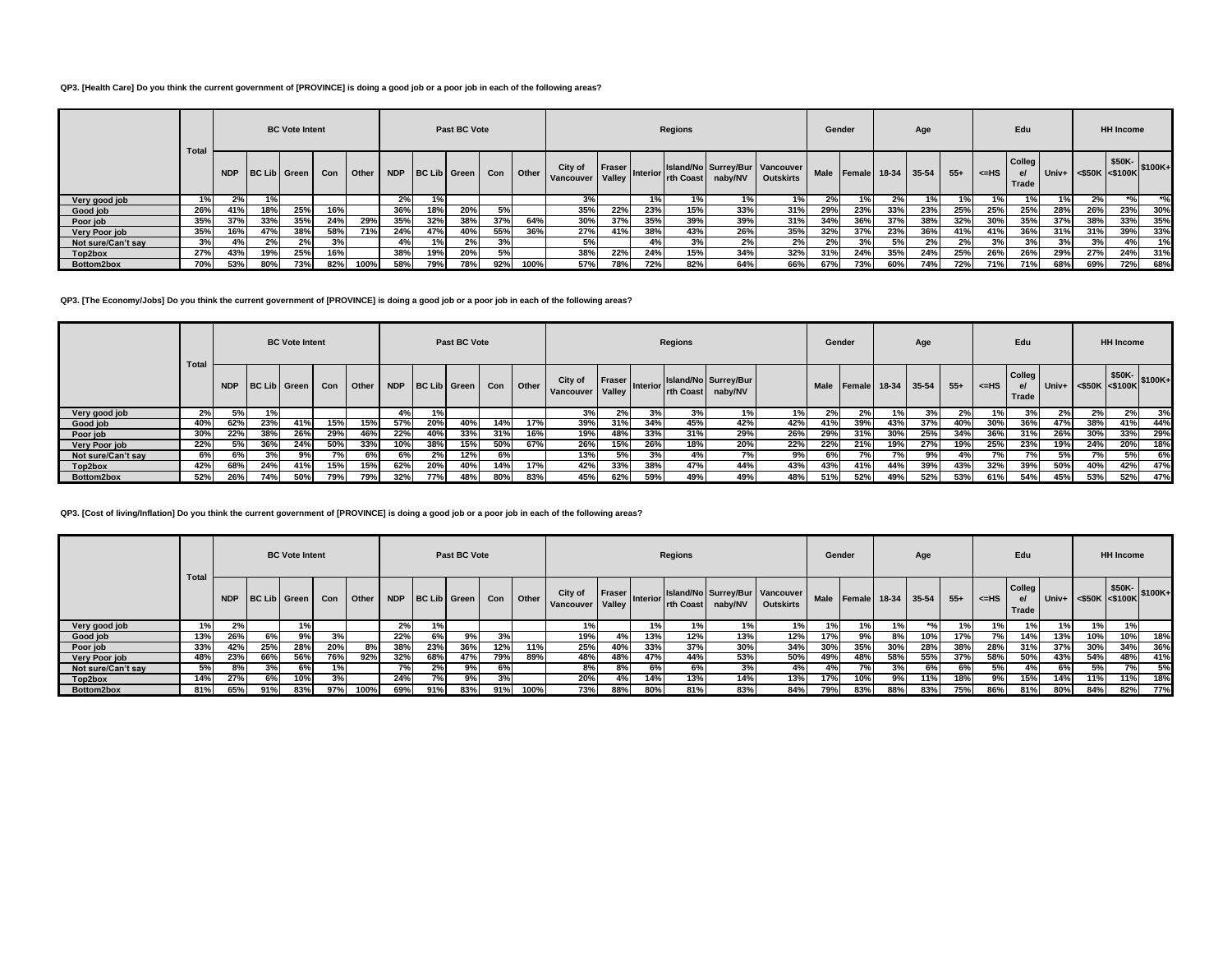## **QP3. [Health Care] Do you think the current government of [PROVINCE] is doing a good job or a poor job in each of the following areas?**

|                    |              |            |                     | <b>BC</b> Vote Intent |     |       |            |     | Past BC Vote |     |              |                      |                         |                 | Regions   |                                           |                  | Gender |                    |     | Age |       |           | Edu                   |     |                      | <b>HH Income</b> |         |
|--------------------|--------------|------------|---------------------|-----------------------|-----|-------|------------|-----|--------------|-----|--------------|----------------------|-------------------------|-----------------|-----------|-------------------------------------------|------------------|--------|--------------------|-----|-----|-------|-----------|-----------------------|-----|----------------------|------------------|---------|
|                    | <b>Total</b> | <b>NDP</b> | <b>BC Lib Green</b> |                       | Con | Other | <b>NDP</b> |     | BC Lib Green | Con | <b>Other</b> | City of<br>Vancouver | Fraser<br><b>Valley</b> | <b>Interior</b> | rth Coast | Island/No Surrey/Bur Vancouver<br>naby/NV | <b>Outskirts</b> | Male   | Female 18-34 35-54 |     |     | $55+$ | $\leq$ HS | Colleg<br>el<br>Trade |     | Univ+ <\$50K <\$100K | \$50K-           | \$100K+ |
| Very good job      |              | 2%         | 1%                  |                       |     |       | 2%         |     |              |     |              | 3%                   |                         | 1%              |           | 1%                                        | 1%               |        | 1%                 |     | 1%  |       | '%'       |                       |     | 2%                   |                  | $*$ %   |
| Good job           | 26%          | 41%        | 18%                 | 25%                   | 16% |       | 36%        | 18% | 20%          | 5%  |              | 35%                  | 22%                     | 23%             | 15%       | 33%                                       | 31%              | 29%    | 23%                | 33% | 23% | 25%   | 25%       | 25%                   | 28% | 26%                  | 23%              | 30%     |
| Poor job           | 35%          | 37%        | 33%                 | 35%                   | 24% | 29%   | 35%        | 32% | 38%          | 37% | 64%          | 30%                  | 37%                     | 35%             | 39%       | 39%                                       | 31%              | 34%    | 36%                | 37% | 38% | 32%   | 30%       | 35%                   | 37% | 38%                  | 33%              | 35%     |
| Very Poor job      | 35%          | 16%        | 47%                 | 38%                   | 58% | 71%   | 24%        | 47% | 40%          | 55% | 36%          | 27%                  | 41%                     | 38%             | 43%       | 26%                                       | 35%              | 32%    | 37%                | 23% | 36% | 41%   | 41%       | 36%                   | 31% | 31%                  | 39%              | 33%     |
| Not sure/Can't say | 3%           | 4%         | 2%                  | 2%                    | 3%  |       | 4%         |     | 2%           | 3%  |              | 5%                   |                         |                 | 3%        | 2%                                        | 2%               | 2%     | 3%                 | 5%  | 2%  | 2%    | 3%        | 3%                    | 3%  | 3%                   |                  | 1%      |
| Top2box            | 27%          | 43%        | 19%                 | 25%                   | 16% |       | 38%        | 19% | 20%          | 5%  |              | 38%                  | 22%                     | 24%             | 15%       | 34%                                       | 32%              | 31%    | 24%                | 35% | 24% | 25%   | 26%       | 26%                   | 29% | 27%                  | 24%              | 31%     |
| Bottom2box         | 70%          | 53%        | 80%                 | 73%                   | 82% | 100%  | 58%        | 79% | 78%          | 92% | 100%         | 57%                  | 78%                     | 72%             | 82%       | 64%                                       | 66%              | 67%    | 73%                | 60% | 74% | 72%   | 71%       | 71%                   | 68% | 69%                  | 72%              | 68%     |

## **QP3. [The Economy/Jobs] Do you think the current government of [PROVINCE] is doing a good job or a poor job in each of the following areas?**

|                    |       |     |       | <b>BC Vote Intent</b> |     |       |     |     | Past BC Vote     |     |       |                      |                  |                 | Regions   |                                 |     |             | Gender             |      | Age |       |               | Edu                             |       |                      | <b>HH Income</b> |     |
|--------------------|-------|-----|-------|-----------------------|-----|-------|-----|-----|------------------|-----|-------|----------------------|------------------|-----------------|-----------|---------------------------------|-----|-------------|--------------------|------|-----|-------|---------------|---------------------------------|-------|----------------------|------------------|-----|
|                    | Total |     |       | NDP BC Lib Green      | Con | Other |     |     | NDP BC Lib Green | Con | Other | City of<br>Vancouver | Fraser<br>Valley | <b>Interior</b> | rth Coast | Island/No Surrey/Bur<br>naby/NV |     | <b>Male</b> | Female 18-34 35-54 |      |     | $55+$ | ightharpoonup | Collea<br>$\mathbf{e}$<br>Trade |       | Univ+ <\$50K <\$100K | $$50K-$ \$100K+  |     |
| Very good job      | $2\%$ | 5%  | $1\%$ |                       |     |       | 4%  | 1%  |                  |     |       | 3%                   | 270              | $3\%$           | 3%        | $1\%$                           |     | $2\%$       | 2%                 | 1% I | 3%  | $2\%$ | 1%            | ە77                             | $2\%$ | $2\%$                | 2%               | 3%  |
| Good job           | 40%   | 62% | 23%   | 41%                   | 15% | 15%   | 57% | 20% | 40%              | 14% | 17%   | 39%                  | 31%              | 34%             | 45%       | 42%                             | 42% | 41%         | 39%                | 43%  | 37% | 40%   | 30%           | 36%                             | 47%   | 38%                  | 41%              | 44% |
| Poor job           | 30%   | 22% | 38%   | 26%                   | 29% | 46%   | 22% | 40% | 33%              | 31% | 16%   | 19%                  | 48%              | 33%             | 31%       | 29%                             | 26% | 29%         | 31%                | 30%  | 25% | 34%   | 36%           | 31%                             | 26%   | 30%                  | 33%              | 29% |
| Very Poor job      | 22%   | 5%  | 36%   | 24%                   | 50% | 33%   | n%  | 38% | 15%              | 50% | 67%   | 26%                  | 15%              | 26%             | 18%       | 20%                             | 22% | 22%         | 21%                | 19%  | 27% | 19%   | 25%           | 23%                             | 19%   | 24%                  | 20%              | 18% |
| Not sure/Can't say | 6%    | 6%  | 3%    | 9%                    |     | 6%    |     | 2%  | 12%              | 6%  |       | 13%                  | 5%               | 3%              | 4%        | 7%                              | 9%  | 6%          | 7%                 | 7%   | 9%  |       | 7%            | 7%                              | 5%    |                      | 5%               | 6%  |
| Top2box            | 42%   | 68% | 24%   | 41%                   | 15% | 15%   | 62% | 20% | 40%              | 14% | 17%   | 42%                  | 33%              | 38%             | 47%       | 44%                             | 43% | 43%         | 41%                | 44%  | 39% | 43%   | 32%           | 39%                             | 50%   | 40%                  | 42%              | 47% |
| Bottom2box         | 52%   | 26% | 74%   | 50%                   | 79% | 79%   | 32% | 77% | 48%              | 80% | 83%   | 45%                  | 62%              | 59%             | 49%       | 49%                             | 48% | 51%         | 52%                | 49%  | 52% | 53%   | 61%           | 54%                             | 45%   | 53%                  | 52%              | 47% |

## **QP3. [Cost of living/Inflation] Do you think the current government of [PROVINCE] is doing a good job or a poor job in each of the following areas?**

|                    |                                            |     |     | <b>BC Vote Intent</b> |     |              |     |                  | Past BC Vote |     |       |                      |                    |          | <b>Regions</b> |         |                                                    |             | Gender             |     | Age |       |        | Edu                          |               |                                                | <b>HH Income</b> |     |
|--------------------|--------------------------------------------|-----|-----|-----------------------|-----|--------------|-----|------------------|--------------|-----|-------|----------------------|--------------------|----------|----------------|---------|----------------------------------------------------|-------------|--------------------|-----|-----|-------|--------|------------------------------|---------------|------------------------------------------------|------------------|-----|
|                    | Total<br><b>NDP</b><br>BC Lib Green<br>Con |     |     |                       |     | <b>Other</b> |     | NDP BC Lib Green |              | Con | Other | City of<br>Vancouver | Fraser  <br>Valley | Interior | rth Coast      | naby/NV | Island/No Surrey/Bur Vancouver<br><b>Outskirts</b> | <b>Male</b> | Female 18-34 35-54 |     |     | $55+$ | k≕HS I | <b>Colleg</b><br>e/<br>Trade | Univ+ $\vert$ | $\cdot$   <\$50K \\ \\$50K \\ \$100K \\ \\$100 |                  |     |
| Very good job      | $1\%$                                      | 2%  |     | 1%                    |     |              | 2%  | 1%               |              |     |       |                      |                    | 1%       | 1%             | 1%      |                                                    | 1%          |                    | 1%  |     | 1% I  | 1%     | 1%                           | 1%            | 1%                                             | 1%               |     |
| Good job           | 13%                                        | 26% | 6%  | 9%                    | 3%  |              | 22% | 6%               | 9%           | 3%  |       | 19%                  | 4%                 | 13%      | 12%            | 13%     | 12%                                                | 17%         | 9%                 | 8%  | 10% | 17%   | 7%     | 14%                          | 13%           | 10%                                            | 10%              | 18% |
| Poor job           | 33%                                        | 42% | 25% | 28%                   | 20% | 8%           | 38% | 23%              | 36%          | 12% | 11%   | 25%                  | 40%                | 33%      | 37%            | 30%     | 34%                                                | 30%         | 35%                | 30% | 28% | 38%   | 28%    | 31%                          | 37%           | 30%                                            | 34%              | 36% |
| Very Poor job      | 48%                                        | 23% | 66% | 56%                   | 76% | 92%          | 32% | 68%              | 47%          | 79% | 89%   | 48%                  | 48%                | 47%      | 44%            | 53%     | 50%                                                | 49%         | 48%                | 58% | 55% | 37%   | 58%    | 50%                          | 43%           | 54%                                            | 48%              | 41% |
| Not sure/Can't say | 5%                                         | 8%  | 3%  | 6%                    | 1%  |              | 7%  | 2%               | 9%           | 6%  |       | 8%                   | 8%                 | 6%       | 6%             | 3%      | 4%                                                 | 4%          |                    | 3%  | 6%  | 6% 1  | 5%l    | 4%                           | 6%            | 5%                                             | 7%               | 5%  |
| Top2box            | 14%                                        | 27% | 6%  | 10%                   | 3%  |              | 24% | 7%               | 9%           | 3%  |       | 20%                  | 4%                 | 14%      | 13%            | 14%     | 13%                                                | 17%         | 10%                | 9%  | 11% | 18%   | 9%     | 15%                          | 14%           | 11%                                            | 11%              | 18% |
| Bottom2box         | 81%                                        | 65% | 91% | 83%                   | 97% | 100%         | 69% | 91%              | 83%          | 91% | 100%  | 73%                  | 88%                | 80%      | 81%            | 83%     | 84%                                                | 79%         | 83%                | 88% | 83% | 75%   | 86%    | 81%                          | 80%           | 84%                                            | 82%              | 77% |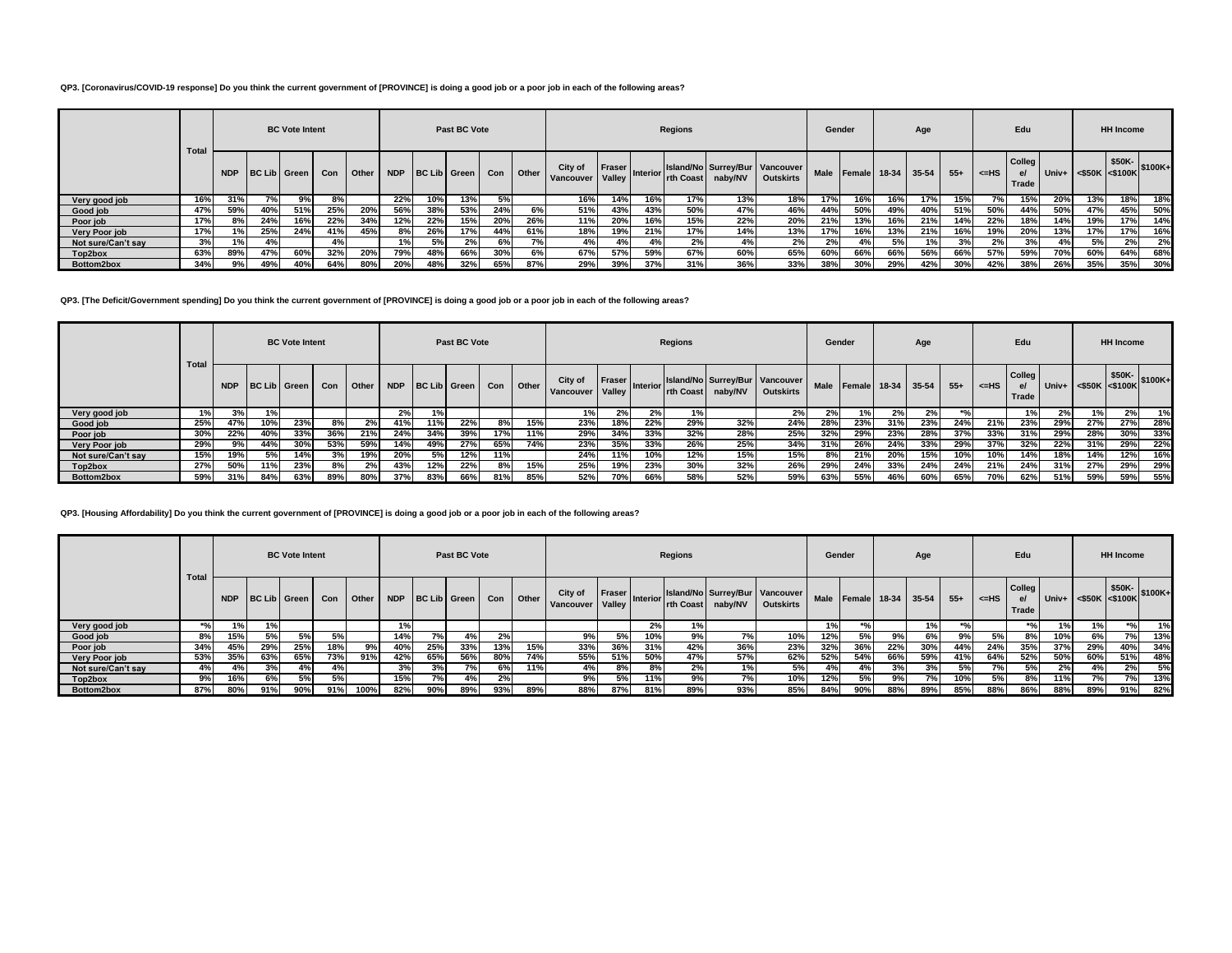## **QP3. [Coronavirus/COVID-19 response] Do you think the current government of [PROVINCE] is doing a good job or a poor job in each of the following areas?**

|                    |              |            |                  | <b>BC</b> Vote Intent |     |       |            |     | Past BC Vote |     |       |                      |                  |            | <b>Regions</b> |         |                                                    | Gender |                    |     | Age |       |            | Edu                  |     |                      | <b>HH Income</b> |         |
|--------------------|--------------|------------|------------------|-----------------------|-----|-------|------------|-----|--------------|-----|-------|----------------------|------------------|------------|----------------|---------|----------------------------------------------------|--------|--------------------|-----|-----|-------|------------|----------------------|-----|----------------------|------------------|---------|
|                    | <b>Total</b> | <b>NDP</b> | BC Lib Green Con |                       |     | Other | <b>NDP</b> |     | BC Lib Green | Con | Other | City of<br>Vancouver | Fraser<br>Valley | Interior I | rth Coast      | naby/NV | Island/No Surrey/Bur Vancouver<br><b>Outskirts</b> | Male   | Female 18-34 35-54 |     |     | $55+$ | $\leq$ -HS | Colleg<br>e<br>Trade |     | Univ+ <\$50K <\$100K | \$50K-           | \$100K+ |
| Very good job      | 16%          | 31%        |                  | 9%                    | 8%  |       | 22%        | 10% | 13%          | 5%  |       | 16%                  | 14%              |            | 17%            | 13%     | 18%                                                | 17%    | 16%                | 16% | 17% | 15%   | 7%         | 15%                  | 20% | 13%                  | 18%              | 18%     |
| Good job           | 47%          | 59%        | 40%              | 51%                   | 25% | 20%   | 56%        | 38% | 53%          | 24% | 6%    | 51%                  | 43%              | 43%        | 50%            | 47%     | 46%                                                | 44%    | 50%                | 49% | 40% | 51%   | 50%        | 44%                  | 50% | 47%                  | 45%              | 50%     |
| Poor job           | 17%          | 8%         | 24%              | 16%                   | 22% | 34%   | 12%        | 22% | 15%          | 20% | 26%   | 11%                  | 20%              | 16%        | 15%            | 22%     | 20%                                                | 21%    | 13%                | 16% | 21% | 14%   | 22%        | 18%                  | 14% | 19%                  | 17%              | 14%     |
| Very Poor job      | 17%          | 1%         | 25%              | 24%                   | 41% | 45%   | 8%         | 26% | 17%          | 44% | 61%   | 18%                  | 19%              | 21%        | 17%            | 14%     | 13%                                                | 17%    | 16%                | 13% | 21% | 16%   | 19%        | 20%                  | 13% | 17%                  | 17%              | 16%     |
| Not sure/Can't say | 3%           | 1%         | 4%               |                       | 4%  |       | 1%         | 5%  | 2%           | 6%  |       | 4%                   | 4%               |            | 2%             | 4%      | 2%                                                 | 2%     | 4%                 | 5%  | 1%  | 3%    | 2%         | 3%                   | 4%  | 5%                   | 2%               | 2%      |
| Top2box            | 63%          | 89%        | 47%              | 60%                   | 32% | 20%   | 79%        | 48% | 66%          | 30% | 6%    | 67%                  | 57%              | 59%        | 67%            | 60%     | 65%                                                | 60%    | 66%                | 66% | 56% | 66%   | 57%        | 59%                  | 70% | 60%                  | 64%              | 68%     |
| Bottom2box         | 34%          |            | 49%              | 40%                   | 64% |       | 20%        | 48% | 32%          | 65% | 87%   | 29%                  | 39%              | 37%        | 31%            | 36%     | 33%                                                | 38%    | 30%                | 29% | 42% | 30%   | 42%        | 38%                  | 26% | 35%                  | 35%              | 30%     |

**QP3. [The Deficit/Government spending] Do you think the current government of [PROVINCE] is doing a good job or a poor job in each of the following areas?**

|                    |              |            |       | <b>BC Vote Intent</b> |     |              |      |     | Past BC Vote     |     |       |                      |                  |                       | Regions   |         |                                                    | Gender |      |     | Age                     |       |      | Edu                                    |       |                                                                                          | <b>HH Income</b> |     |
|--------------------|--------------|------------|-------|-----------------------|-----|--------------|------|-----|------------------|-----|-------|----------------------|------------------|-----------------------|-----------|---------|----------------------------------------------------|--------|------|-----|-------------------------|-------|------|----------------------------------------|-------|------------------------------------------------------------------------------------------|------------------|-----|
|                    | <b>Total</b> | <b>NDP</b> |       | BC Lib   Green        | Con | <b>Other</b> |      |     | NDP BC Lib Green | Con | Other | City of<br>Vancouver | Fraser<br>Valley | Interior <sup>1</sup> | rth Coast | naby/NV | Island/No Surrey/Bur Vancouver<br><b>Outskirts</b> |        |      |     | Male Female 18-34 35-54 | $55+$ | <=HS | <b>Colleg</b><br>$\mathbf{e}$<br>Trade |       | $\begin{array}{ c c c c }\n\hline\n\text{Univ+} & & $50K$ & $50K$ \end{array}$ \\\$100K+ |                  |     |
| Very good job      |              | $3\%$      | $1\%$ |                       |     |              | 2% I | 1%  |                  |     |       |                      | $2\%$            | 2%                    | l%l       |         | 2%                                                 | 2%     | 1% I | 2%  | 2%                      |       |      | $1\%$                                  | $2\%$ |                                                                                          | 2%               | 1%  |
| Good job           | 25%          | 47%        | 10%   | 23%                   | 8%  | 2%           | 41%  | 11% | 22%              | 8%  | 15%   | 23%                  | 18%              | 22%                   | 29%       | 32%     | 24%                                                | 28%    | 23%  | 31% | 23%                     | 24%   | 21%  | 23%                                    | 29%   | 27%                                                                                      | 27%              | 28% |
| Poor job           | 30%          | 22%        | 40%   | 33%                   | 36% | 21%          | 24%  | 34% | 39%              | 17% | 11%   | 29%                  | 34%              | 33%                   | 32%       | 28%     | 25%                                                | 32%    | 29%  | 23% | 28%                     | 37%   | 33%  | 31%                                    | 29%   | 28%                                                                                      | 30%              | 33% |
| Very Poor job      | 29%          | 9%         | 44%   | 30%                   | 53% | 59%          | 14%  | 49% | 27%              | 65% | 74%   | 23%                  | 35%              | 33%                   | 26%       | 25%     | 34%                                                | 31%    | 26%  | 24% | 33%                     | 29%   | 37%  | 32%                                    | 22%   | 31%                                                                                      | 29%              | 22% |
| Not sure/Can't sav | 15%          | 19%        | 5%    | 14%                   | 3%  | 19%          | 20%  | 5%  | 12%              | 11% |       | 24%                  | 11%              | 10%                   | 12%       | 15%     | 15%                                                | 8%     | 21%  | 20% | 15%                     | 10%   | 10%  | 14%                                    | 18%   | 14%                                                                                      | 12%              | 16% |
| Top2box            | 27%          | 50%        | 11%   | 23%                   | 8%  | 2%1          | 43%  | 12% | 22%              | 8%  | 15%   | 25%                  | 19%              | 23%                   | 30%       | 32%     | 26%                                                | 29%    | 24%  | 33% | 24%                     | 24%   | 21%  | 24%                                    | 31%   | 27%                                                                                      | 29%              | 29% |
| Bottom2box         | 59%          | 31%        | 84%   | 63%                   | 89% | 80%          | 37%  | 83% | 66%              | 81% | 85%   | 52%                  | 70%              | 66%                   | 58%       | 52%     | 59%                                                | 63%    | 55%  | 46% | 60%                     | 65%   | 70%  | 62%                                    | 51%   | 59%                                                                                      | 59%              | 55% |

**QP3. [Housing Affordability] Do you think the current government of [PROVINCE] is doing a good job or a poor job in each of the following areas?**

|                    | Total |     |     | <b>BC Vote Intent</b> |     |      |     |     | Past BC Vote                 |     |         |                             |        |          | <b>Regions</b>  |         |                                                    | Gender      |      |     | Age                     |        |         | Edu             |     |                                                        | <b>HH Income</b>                |      |
|--------------------|-------|-----|-----|-----------------------|-----|------|-----|-----|------------------------------|-----|---------|-----------------------------|--------|----------|-----------------|---------|----------------------------------------------------|-------------|------|-----|-------------------------|--------|---------|-----------------|-----|--------------------------------------------------------|---------------------------------|------|
|                    |       |     |     | NDP BC Lib Green      | Con |      |     |     | Other   NDP   BC Lib   Green | Con | Other I | City of<br>Vancouver Valley | Fraser | Interior | <b>In Coast</b> | naby/NV | Island/No Surrey/Bur Vancouver<br><b>Outskirts</b> |             |      |     | Male Female 18-34 35-54 | $55+$  | $<$ =HS | Collea<br>Trade |     | Univ+ $\left  \right $ <\$50K $\left  \right $ <\$100K | $$50K-$ \$100K+                 |      |
| Very good job      |       | 1%  | 1%  |                       |     |      | 1%  |     |                              |     |         |                             |        | 2%       |                 |         |                                                    | $^{\prime}$ |      |     | 1%                      | $*$ 0/ |         | $*$ %           | 1%  | 1%                                                     | $*$ <sup>0</sup> / <sub>0</sub> | 1%   |
| Good job           | 8%    | 15% | 5%  | 5%                    | 5%  |      | 14% | 7%  | 4%                           | 2%  |         | 9%                          | 5%     | 10%      | 9%              | 7%      | 10%                                                | 12%         | 5%   | 9%  | 6%                      | 9%     | 5%      | 8%              | 10% | 6%                                                     | 7%                              | 13%  |
| Poor job           | 34%   | 45% | 29% | 25%                   | 18% | 9%   | 40% | 25% | 33%                          | 13% | 15%     | 33%                         | 36%    | 31%      | 42%             | 36%     | 23%                                                | 32%         | 36%  | 22% | 30%                     | 44%    | 24%     | 35%             | 37% | 29%                                                    | 40%                             | 34%  |
| Very Poor job      | 53%   | 35% | 63% | 65%                   | 73% | 91%  | 42% | 65% | 56%                          | 80% | 74%     | 55%                         | 51%    | 50%      | 47%             | 57%     | 62%                                                | 52%         | 54%  | 66% | 59%                     | 41%    | 64%     | 52%             | 50% | 60%                                                    | 51%                             | 48%  |
| Not sure/Can't sav | 4%    | 4%  | 3%  | 4%                    | 4%  |      | 3%  | 3%  | 7%                           | 6%  | 11%     | 4%                          | 8%     | 8%       | 2%              |         | 5%                                                 | 4%          | 4%   | 3%  | 3%                      | 5%     | 7%      |                 | 2%  | 4%                                                     | 2%                              | 5% b |
| Top2box            | 9%    | 16% | 6%  | 5%                    | 5%  |      | 15% | 7%  | 4%                           | 2%  |         | 9%                          | 5%     | 11%      | 9%              | 7%      | 10%                                                | 12%         | 5% l | 9%  | 7%                      | 10%    | 5%      |                 | 11% |                                                        | 7%                              | 13%  |
| Bottom2box         | 87%   | 80% | 91% | 90%                   | 91% | 100% | 82% | 90% | 89%                          | 93% | 89%     | 88%                         | 87%    | 81%      | 89%             | 93%     | 85%                                                | 84%         | 90%  | 88% | 89%                     | 85%    | 88%     | 86%             | 88% | 89%                                                    | 91%                             | 82%  |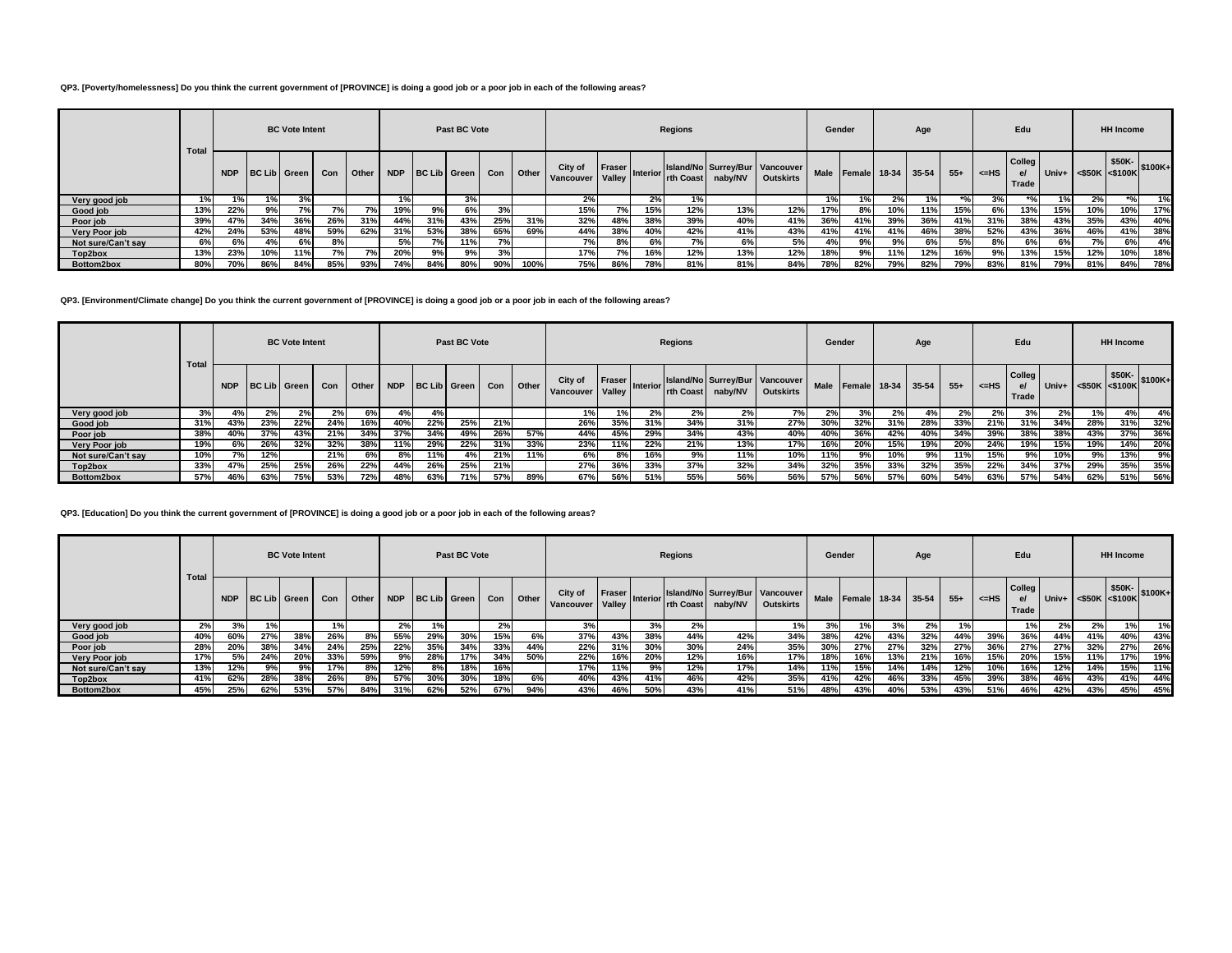## **QP3. [Poverty/homelessness] Do you think the current government of [PROVINCE] is doing a good job or a poor job in each of the following areas?**

|                    |              |            |                     | <b>BC</b> Vote Intent |     |       |            |     | Past BC Vote |     |              |                      |                  |                 | Regions   |                                           |                  | Gender |                    |     | Age |       |           | Edu                   |     |                      | <b>HH Income</b> |         |
|--------------------|--------------|------------|---------------------|-----------------------|-----|-------|------------|-----|--------------|-----|--------------|----------------------|------------------|-----------------|-----------|-------------------------------------------|------------------|--------|--------------------|-----|-----|-------|-----------|-----------------------|-----|----------------------|------------------|---------|
|                    | <b>Total</b> | <b>NDP</b> | <b>BC Lib Green</b> |                       | Con | Other | <b>NDP</b> |     | BC Lib Green | Con | <b>Other</b> | City of<br>Vancouver | Fraser<br>Valley | <b>Interior</b> | rth Coast | Island/No Surrey/Bur Vancouver<br>naby/NV | <b>Outskirts</b> | Male   | Female 18-34 35-54 |     |     | $55+$ | $\leq$ HS | Colleg<br>el<br>Trade |     | Univ+ <\$50K <\$100K | \$50K-           | \$100K+ |
| Very good job      |              | 1%         |                     | 3%                    |     |       | 1%         |     | 3%           |     |              | 2%                   |                  | 2%              |           |                                           |                  |        | 1%                 |     | 1%  |       | 3% l      |                       |     | 2%                   |                  | 1%      |
| Good job           | 13%          | 22%        | 9%                  | 7%                    | 7%  |       | 19%        | 9%  | 6%           | 3%  |              | 15%                  |                  | 15%             | 12%       | 13%                                       | 12%              | 17%    | 8%                 | 10% | 11% | 15%   | 6%        | 13%                   | 15% | 10%                  | 10%              | 17%     |
| Poor job           | 39%          | 47%        | 34%                 | 36%                   | 26% | 31%   | 44%        | 31% | 43%          | 25% | 31%          | 32%                  | 48%              | 38%             | 39%       | 40%                                       | 41%              | 36%    | 41%                | 39% | 36% | 41%   | 31%       | 38%                   | 43% | 35%                  | 43%              | 40%     |
| Very Poor job      | 42%          | 24%        | 53%                 | 48%                   | 59% | 62%   | 31%        | 53% | 38%          | 65% | 69%          | 44%                  | 38%              | 40%             | 42%       | 41%                                       | 43%              | 41%    | 41%                | 41% | 46% | 38%   | 52%       | 43%                   | 36% | 46%                  | 41%              | 38%     |
| Not sure/Can't say | 6%           | 6%         | 4%                  | 6%                    | 8%  |       | 5%         | 7%  | 11%          | 7%  |              | 7%                   | 8%               | 6%              | 70/       | 6%                                        | 5%               |        | 9%                 | 9%  | 6%  | 5%    | 8%        | 6%                    | 6%  | 7%                   | 6%               | 4%      |
| Top2box            | 13%          | 23%        | 10%                 | 11%                   | 7%  | 7%    | 20%        | 9%  | 9%           | 3%  |              | 17%                  | 7%               |                 | 12%       | 13%                                       | 12%              | 18%    | 9%                 | 11% | 12% | 16%   | 9%        | 13%                   | 15% | 12%                  | 10%              | 18%     |
| Bottom2box         | 80%          | 70%        | 86%                 | 84%                   | 85% | 93%   | 74%        | 84% | 80%          | 90% | 100%         | 75%                  | 86%              | 78%             | 81%       | 81%                                       | 84%              | 78%    | 82%                | 79% | 82% | 79%   | 83%       | 81%                   | 79% | 81%                  | 84%              | 78%     |

**QP3. [Environment/Climate change] Do you think the current government of [PROVINCE] is doing a good job or a poor job in each of the following areas?**

|                    |              | <b>BC Vote Intent</b><br>BC Lib Green<br><b>NDP</b><br>Con Other<br>$2\%$<br>$2\%$<br>$4\%$ |     |     |     |     |     |     | Past BC Vote     |     |       |                      |                  |                       | Regions   |         |                                                    | Gender |     |     | Age                     |       |       | Edu                                    |       |                                                                                          | <b>HH Income</b> |     |
|--------------------|--------------|---------------------------------------------------------------------------------------------|-----|-----|-----|-----|-----|-----|------------------|-----|-------|----------------------|------------------|-----------------------|-----------|---------|----------------------------------------------------|--------|-----|-----|-------------------------|-------|-------|----------------------------------------|-------|------------------------------------------------------------------------------------------|------------------|-----|
|                    | <b>Total</b> |                                                                                             |     |     |     |     |     |     | NDP BC Lib Green | Con | Other | City of<br>Vancouver | Fraser<br>Valley | Interior <sup>1</sup> | rth Coast | naby/NV | Island/No Surrey/Bur Vancouver<br><b>Outskirts</b> |        |     |     | Male Female 18-34 35-54 | $55+$ | <=HS  | <b>Colleg</b><br>$\mathbf{e}$<br>Trade |       | $\begin{array}{ c c c c }\n\hline\n\text{Univ+} & & $50K$ & $50K$ \end{array}$ \\\$100K+ |                  |     |
| Very good job      | 3%           |                                                                                             |     |     |     | 6%  | 4%  | 4%  |                  |     |       |                      |                  | 2%                    | 2%        | 2%      |                                                    | 2%     | 3%  | 2%  | 4%                      | $2\%$ | $2\%$ | $3\%$                                  | $2\%$ |                                                                                          | 4%               | 4%  |
| Good job           | 31%          | 43%                                                                                         | 23% | 22% | 24% | 16% | 40% | 22% | 25%              | 21% |       | 26%                  | 35%              | 31%                   | 34%       | 31%     | 27%                                                | 30%    | 32% | 31% | 28%                     | 33%   | 21%   | 31%                                    | 34%   | 28%                                                                                      | 31%              | 32% |
| Poor job           | 38%          | 40%                                                                                         | 37% | 43% | 21% | 34% | 37% | 34% | 49%              | 26% | 57%   | 44%                  | 45%              | 29%                   | 34%       | 43%     | 40%                                                | 40%    | 36% | 42% | 40%                     | 34%   | 39%   | 38%                                    | 38%   | 43%                                                                                      | 37%              | 36% |
| Very Poor job      | 19%          | 6%                                                                                          | 26% | 32% | 32% | 38% | 11% | 29% | 22%              | 31% | 33%   | 23%                  | 11%              | 22%                   | 21%       | 13%     | 17%                                                | 16%    | 20% | 15% | 19%                     | 20%   | 24%   | 19%                                    | 15%   | 19%                                                                                      | 14%              | 20% |
| Not sure/Can't sav | 10%          | 7%                                                                                          | 12% |     | 21% | 6%  | 8%  | 11% | 4%               | 21% | 11%   | 6%                   | 8%               | 16%                   | 9%        | 11%     | 10%                                                | 11%    | 9%  | 10% | 9%                      | 11%   | 15%   | 9%                                     | 10%   | 9%                                                                                       | 13%              | 9%  |
| Top2box            | 33%          | 47%                                                                                         | 25% | 25% | 26% | 22% | 44% | 26% | 25%              | 21% |       | 27%                  | 36%              | 33%                   | 37%       | 32%     | 34%                                                | 32%    | 35% | 33% | 32%                     | 35%   | 22%   | 34%                                    | 37%   | 29%                                                                                      | 35%              | 35% |
| Bottom2box         | 57%          | 46%                                                                                         | 63% | 75% | 53% | 72% | 48% | 63% | 71%              | 57% | 89%   | 67%                  | 56%              | 51%                   | 55%       | 56%     | 56%                                                | 57%    | 56% | 57% | 60%                     | 54%   | 63%   | 57%                                    | 54%   | 62%                                                                                      | 51%              | 56% |

# **QP3. [Education] Do you think the current government of [PROVINCE] is doing a good job or a poor job in each of the following areas?**

|                    | Total |            |     | <b>BC Vote Intent</b> |     |         |     |                  | Past BC Vote |     |       |                      |                         |                 | Regions |                   |                                                    |     | Gender                  |     | Age |       |      | Edu                     |     |                        | <b>HH Income</b> |                 |
|--------------------|-------|------------|-----|-----------------------|-----|---------|-----|------------------|--------------|-----|-------|----------------------|-------------------------|-----------------|---------|-------------------|----------------------------------------------------|-----|-------------------------|-----|-----|-------|------|-------------------------|-----|------------------------|------------------|-----------------|
|                    |       | <b>NDP</b> |     | <b>BC Lib Green</b>   | Con | l Other |     | NDP BC Lib Green |              | Con | Other | City of<br>Vancouver | <b>Fraser</b><br>Valley | <b>Interior</b> |         | rth Coast naby/NV | Island/No Surrey/Bur Vancouver<br><b>Outskirts</b> |     | Male Female 18-34 35-54 |     |     | $55+$ | <=HS | Colleg  <br>e/<br>Trade |     | $Univ+$ <\$50K <\$100K |                  | $$50K-$ \$100K+ |
| Very good job      | 2%    | 3%         | 1%  |                       | 1%  |         | 2%  | 1%               |              | 2%  |       | 3%                   |                         | 3%              | 2%      |                   | 1%                                                 | 3%  | 1% l                    | 3%  | 2%  |       |      | 1%                      | 2%  | 2%                     | 1%               | 1%              |
| Good job           | 40%   | 60%        | 27% | 38%                   | 26% | 8%      | 55% | 29%              | 30%          | 15% | 6%    | 37%                  | 43%                     | 38%             | 44%     | 42%               | 34%                                                | 38% | 42%                     | 43% | 32% | 44%   | 39%  | 36%                     | 44% | 41%                    | 40%              | 43%             |
| Poor job           | 28%   | 20%        | 38% | 34%                   | 24% | 25%     | 22% | 35%              | 34%          | 33% | 44%   | 22%                  | 31%                     | 30%             | 30%     | 24%               | 35%                                                | 30% | 27%                     | 27% | 32% | 27%   | 36%  | 27%                     | 27% | 32%                    | 27%              | 26%             |
| Very Poor job      | 17%   | 5%         | 24% | 20%                   | 33% | 59%     | 9%  | 28%              | 17%          | 34% | 50%   | 22%                  | 16%                     | 20%             | 12%     | 16%               | 17%                                                | 18% | 16%                     | 13% | 21% | 16%   | 15%  | 20%                     | 15% | 11%                    | 17%              | 19%             |
| Not sure/Can't sav | 13%   | 12%        | 9%  | 9%                    | 17% | 8%      | 12% | 8%               | 18%          | 16% |       | 17%                  | 11%                     | 9%              | 12%     | 17%               | 14%                                                | 11% | 15%                     | 14% | 14% | 12%   | 10%  | 16%                     | 12% | 14%                    | 15%              | 11%             |
| Top2box            | 41%   | 62%        | 28% | 38%                   | 26% | 8%      | 57% | 30%              | 30%          | 18% | 6%    | 40%                  | 43%                     | 41%             | 46%     | 42%               | 35%                                                | 41% | 42%                     | 46% | 33% | 45%   | 39%  | 38%                     | 46% | 43%                    | 41%              | 44%             |
| Bottom2box         | 45%   | 25%        | 62% | 53%                   | 57% | 84%     | 31% | 62%              | 52%          | 67% | 94%   | 43%                  | 46%                     | 50%             | 43%     | 41%               | 51%                                                | 48% | 43%                     | 40% | 53% | 43%   | 51%  | 46%                     | 42% | 43%                    | 45%              | 45%             |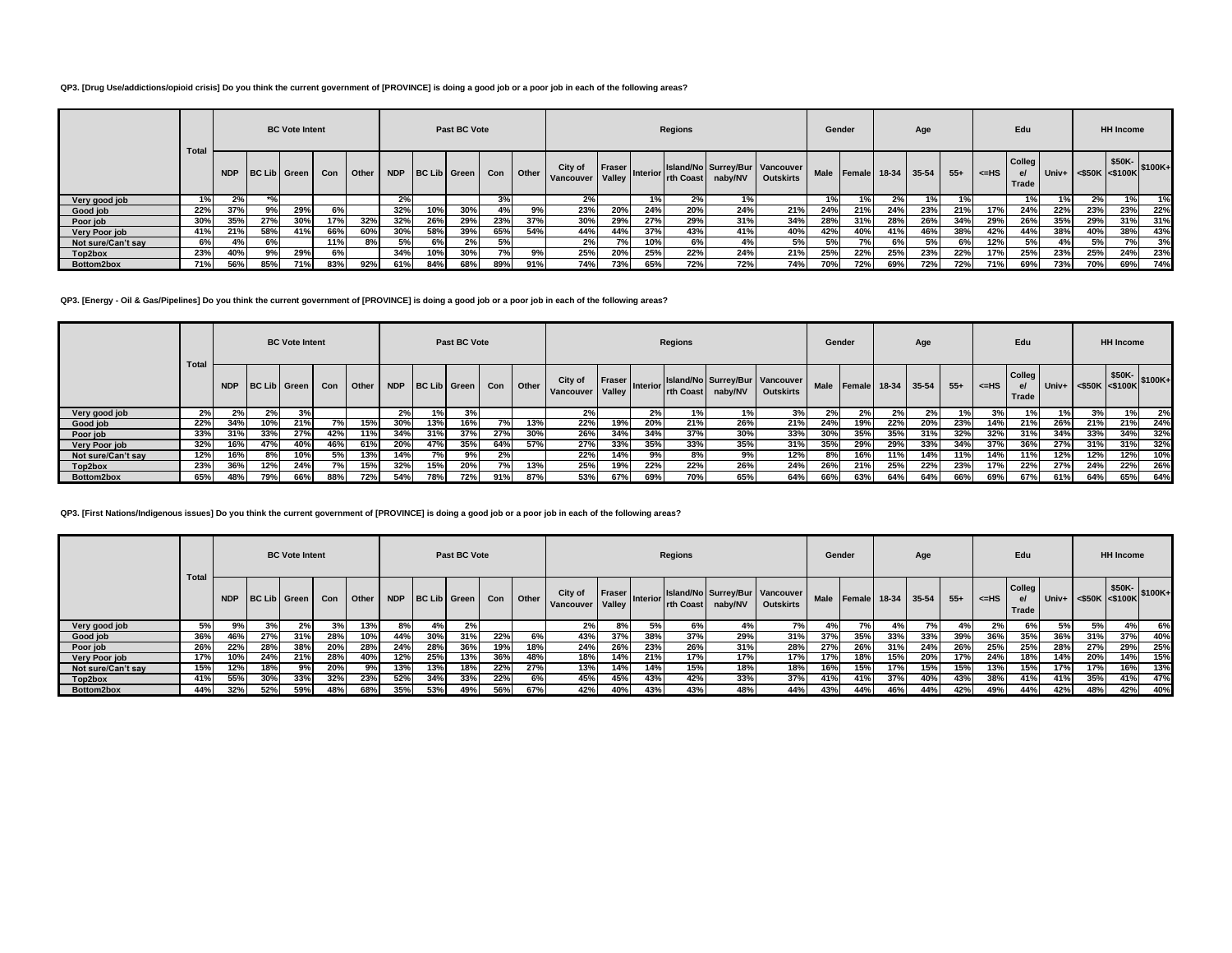#### **QP3. [Drug Use/addictions/opioid crisis] Do you think the current government of [PROVINCE] is doing a good job or a poor job in each of the following areas?**

 $\overline{a}$ 

|                    |              |            |                  | <b>BC</b> Vote Intent |     |       |            |     | Past BC Vote |     |       |                      |                  |                 | <b>Regions</b> |         |                                                    | Gender      |                    |     | Age |       |        | Edu                  |     |                      | <b>HH Income</b> |         |
|--------------------|--------------|------------|------------------|-----------------------|-----|-------|------------|-----|--------------|-----|-------|----------------------|------------------|-----------------|----------------|---------|----------------------------------------------------|-------------|--------------------|-----|-----|-------|--------|----------------------|-----|----------------------|------------------|---------|
|                    | <b>Total</b> | <b>NDP</b> | BC Lib Green Con |                       |     | Other | <b>NDP</b> |     | BC Lib Green | Con | Other | City of<br>Vancouver | Fraser<br>Valley | <b>Interior</b> | rth Coast      | naby/NV | Island/No Surrey/Bur Vancouver<br><b>Outskirts</b> | <b>Male</b> | Female 18-34 35-54 |     |     | $55+$ | $=$ HS | Colleg<br>e<br>Trade |     | Univ+ <\$50K <\$100K | \$50K-           | \$100K+ |
| Very good job      |              | 2%         | $*$ 0.           |                       |     |       | 2%         |     |              | 3%  |       | 2%                   |                  | 1%              | 2%             | 1%      |                                                    |             | 1%                 | 2%  | 1%  |       |        | $1\%$                |     | 2%                   |                  | 1%      |
| Good job           | 22%          | 37%        | 9%               | 29%                   | 6%  |       | 32%        | 10% | 30%          |     | 9%    | 23%                  | 20%              | 24%             | 20%            | 24%     | 21%                                                | 24%         | 21%                | 24% | 23% | 21%   | 17%    | 24%                  | 22% | 23%                  | 23%              | 22%     |
| Poor job           | 30%          | 35%        | 27%              | 30%                   | 17% | 32%   | 32%        | 26% | 29%          | 23% | 37%   | 30%                  | 29%              | 27%             | 29%            | 31%     | 34%                                                | 28%         | 31%                | 28% | 26% | 34%   | 29%    | 26%                  | 35% | 29%                  | 31%              | 31%     |
| Very Poor job      | 41%          | 21%        | 58%              | 41%                   | 66% | 60%   | 30%        | 58% | 39%          | 65% | 54%   | 44%                  | 44%              | 37%             | 43%            | 41%     | 40%                                                | 42%         | 40%                | 41% | 46% | 38%   | 42%    | 44%                  | 38% | 40%                  | 38%              | 43%     |
| Not sure/Can't say | 6%           | 4%         | 6%               |                       | 11% | 8%    | 5%l        | 6%  | 2%           | 5%  |       | 2%                   |                  |                 | 6%             | 4%      | 5% l                                               |             | 7%                 | 6%  | 5%  | 6%    | 12%    | 5%                   | 4%  | 5%                   | 7%               | 3%      |
| Top2box            | 23%          | 40%        | 9%               | 29%                   | 6%  |       | 34%        | 10% | 30%          | 7%  | 9%    | 25%                  | 20%              | 25%             | 22%            | 24%     | 21%                                                | 25%         | 22%                | 25% | 23% | 22%   | 17%    | 25%                  | 23% | 25%                  | 24%              | 23%     |
| Bottom2box         | 71%          | 56%        | 85%              | 71%                   | 83% | 92%   | 61%        | 84% | 68%          | 89% | 91%   | 74%                  | 73%              | 65%             | 72%            | 72%     | 74%                                                | 70%         | 72%                | 69% | 72% | 72%   | 71%    | 69%                  | 73% | 70%                  | 69%              | 74%     |

**QP3. [Energy - Oil & Gas/Pipelines] Do you think the current government of [PROVINCE] is doing a good job or a poor job in each of the following areas?**

|                      |       |       |     | <b>BC Vote Intent</b> |     |       |       |     | Past BC Vote     |      |              |                      |                         |                       | Regions   |         |                                                    | Gender |                         |     | Age |       |      | Edu                     |     |                                                                  | <b>HH Income</b> |     |
|----------------------|-------|-------|-----|-----------------------|-----|-------|-------|-----|------------------|------|--------------|----------------------|-------------------------|-----------------------|-----------|---------|----------------------------------------------------|--------|-------------------------|-----|-----|-------|------|-------------------------|-----|------------------------------------------------------------------|------------------|-----|
|                      | Total |       |     | NDP BC Lib Green      | Con | Other |       |     | NDP BC Lib Green | Con  | <b>Other</b> | City of<br>Vancouver | <b>Fraser</b><br>Valley | Interior <sup>1</sup> | rth Coast | naby/NV | Island/No Surrey/Bur Vancouver<br><b>Outskirts</b> |        | Male Female 18-34 35-54 |     |     | $55+$ | <=HS | Colleg  <br>e/<br>Trade |     | $\frac{1}{2}$ Univ+ $\left  \frac{1}{250K} \right $ \times S100K |                  |     |
| Very good job        | $2\%$ | $2\%$ | 2%  | 3%                    |     |       | $2\%$ | 1%  | 3%               |      |              | 2%                   |                         | 2%                    | ا %ا      | 1%      | 3%                                                 |        | $2\%$                   | 2%  | 2%  | l % I | ە"د  |                         | 1%  | 3%                                                               | 1%               | 2%  |
| Good job             | 22%   | 34%   | 10% | 21%                   |     | 15%   | 30%   | 13% | 16%              | 7% l | 13%          | 22%                  | 19%                     | 20%                   | 21%       | 26%     | 21%                                                | 24%    | 19%                     | 22% | 20% | 23%   | 14%  | 21%                     | 26% | 21%                                                              | 21%              | 24% |
| Poor job             | 33%   | 31%   | 33% | 27%                   | 42% | 11%   | 34%   | 31% | 37%              | 27%  | 30%          | 26%                  | 34%                     | 34%                   | 37%       | 30%     | 33%                                                | 30%    | 35%                     | 35% | 31% | 32%   | 32%  | 31%                     | 34% | 33%                                                              | 34%              | 32% |
| <b>Very Poor job</b> | 32%   | 16%   | 47% | 40%                   | 46% | 61%   | 20%   | 47% | 35%              | 64%  | 57%          | 27%                  | 33%                     | 35%                   | 33%       | 35%     | 31%                                                | 35%    | 29%                     | 29% | 33% | 34%   | 37%  | 36%                     | 27% | 31%                                                              | 31%              | 32% |
| Not sure/Can't say   | 12%   | 16%   | 8%  | 10%                   | 5%  | 13%   | 14%   | 7%  | 9%               | 2%   |              | 22%                  | 14%                     | 9%                    | 8%        | 9%      | 12%                                                | 8%     | 16%                     | 11% | 14% | 11%   | 14%  | 11%                     | 12% | 12%                                                              | 12%              | 10% |
| Top2box              | 23%   | 36%   | 12% | 24%                   | 7%  | 15%   | 32%   | 15% | 20%              | 7%   | 13%          | 25%                  | 19%                     | 22%                   | 22%       | 26%     | 24%                                                | 26%    | 21%                     | 25% | 22% | 23%   | 17%  | 22%                     | 27% | 24%                                                              | 22%              | 26% |
| Bottom2box           | 65%   | 48%   | 79% | 66%                   | 88% | 72%   | 54%   | 78% | 72%              | 91%  | 87%          | 53%                  | 67%                     | 69%                   | 70%       | 65%     | 64%                                                | 66%    | 63%                     | 64% | 64% | 66%   | 69%  | 67%                     | 61% | 64%                                                              | 65%              | 64% |

**QP3. [First Nations/Indigenous issues] Do you think the current government of [PROVINCE] is doing a good job or a poor job in each of the following areas?**

|                    | Total | <b>BC Vote Intent</b><br><b>BC Lib   Green</b><br><b>NDP</b><br>Con<br>3%<br>2%<br>9%<br>28%<br>46%<br>27%<br>31%<br>20%<br>22%<br>28%<br>38% |     |     |     |         |     |     | Past BC Vote     |     |       |                      |                  |                 | Regions |                   |                                                      | Gender      |        |     | Age           |       |      | Edu                     |     |                                                  | <b>HH Income</b> |     |
|--------------------|-------|-----------------------------------------------------------------------------------------------------------------------------------------------|-----|-----|-----|---------|-----|-----|------------------|-----|-------|----------------------|------------------|-----------------|---------|-------------------|------------------------------------------------------|-------------|--------|-----|---------------|-------|------|-------------------------|-----|--------------------------------------------------|------------------|-----|
|                    |       |                                                                                                                                               |     |     |     | Other I |     |     | NDP BC Lib Green | Con | Other | City of<br>Vancouver | Fraser<br>Valley | <b>Interior</b> |         | rth Coast naby/NV | Island/No Surrey/Bur   Vancouver<br><b>Outskirts</b> | <b>Male</b> | Female |     | $18-34$ 35-54 | $55+$ | <=HS | Colleg  <br>e/<br>Trade |     | V Univ+ $\Big $ <\$50K \eft(\$100K) \eft(\$100K) |                  |     |
| Very good job      | 5%    |                                                                                                                                               |     |     |     | 13%     | 8%  | 4%  | 2%               |     |       | 2%                   | 8%               | 5%              | 6%      | 4%                | 7%                                                   |             | 7%     | 4%  | 7%            |       | 2%   | 6%                      | 5%  |                                                  | 4%               | 6%  |
| Good job           | 36%   |                                                                                                                                               |     |     |     |         | 44% | 30% | 31%              | 22% | 6%    | 43%                  | 37%              | 38%             | 37%     | 29%               | 31%                                                  | 37%         | 35%    | 33% | 33%           | 39%   | 36%  | 35%                     | 36% | 31%                                              | 37%              | 40% |
| Poor job           | 26%   |                                                                                                                                               |     |     |     | 28%     | 24% | 28% | 36%              | 19% | 18%   | 24%                  | 26%              | 23%             | 26%     | 31%               | 28%                                                  | 27%         | 26%    | 31% | 24%           | 26%   | 25%  | 25%                     | 28% | 27%                                              | 29%              | 25% |
| Very Poor job      | 17%   | 10%                                                                                                                                           | 24% | 21% | 28% | 40%     | 12% | 25% | 13%              | 36% | 48%   | 18%                  | 14%              | 21%             | 17%     | 17%               | 17%                                                  | 17%         | 18%    | 15% | 20%           | 17%   | 24%  | 18%                     | 14% | 20%                                              | 14%              | 15% |
| Not sure/Can't say | 15%   | 12%                                                                                                                                           | 18% | 9%  | 20% | 9%      | 13% | 13% | 18%              | 22% | 27%   | 13%                  | 14%              | 14%             | 15%     | 18%               | 18%                                                  | 16%         | 15%    | 17% | 15%           | 15%   | 13%  | 15%                     | 17% | 17%                                              | 16%              | 13% |
| Top2box            | 41%   | 55%                                                                                                                                           | 30% | 33% | 32% | 23%     | 52% | 34% | 33%              | 22% | 6%    | 45%                  | 45%              | 43%             | 42%     | 33%               | 37%                                                  | 41%         | 41%    | 37% | 40%           | 43%   | 38%  | 41%                     | 41% | 35%                                              | 41%              | 47% |
| Bottom2box         | 44%   | 32%                                                                                                                                           | 52% | 59% | 48% | 68%     | 35% | 53% | 49%              | 56% | 67%   | 42%                  | 40%              | 43%             | 43%     | 48%               | 44%                                                  | 43%         | 44%    | 46% | 44%           | 42%   | 49%  | 44%                     | 42% | 48%                                              | 42%              | 40% |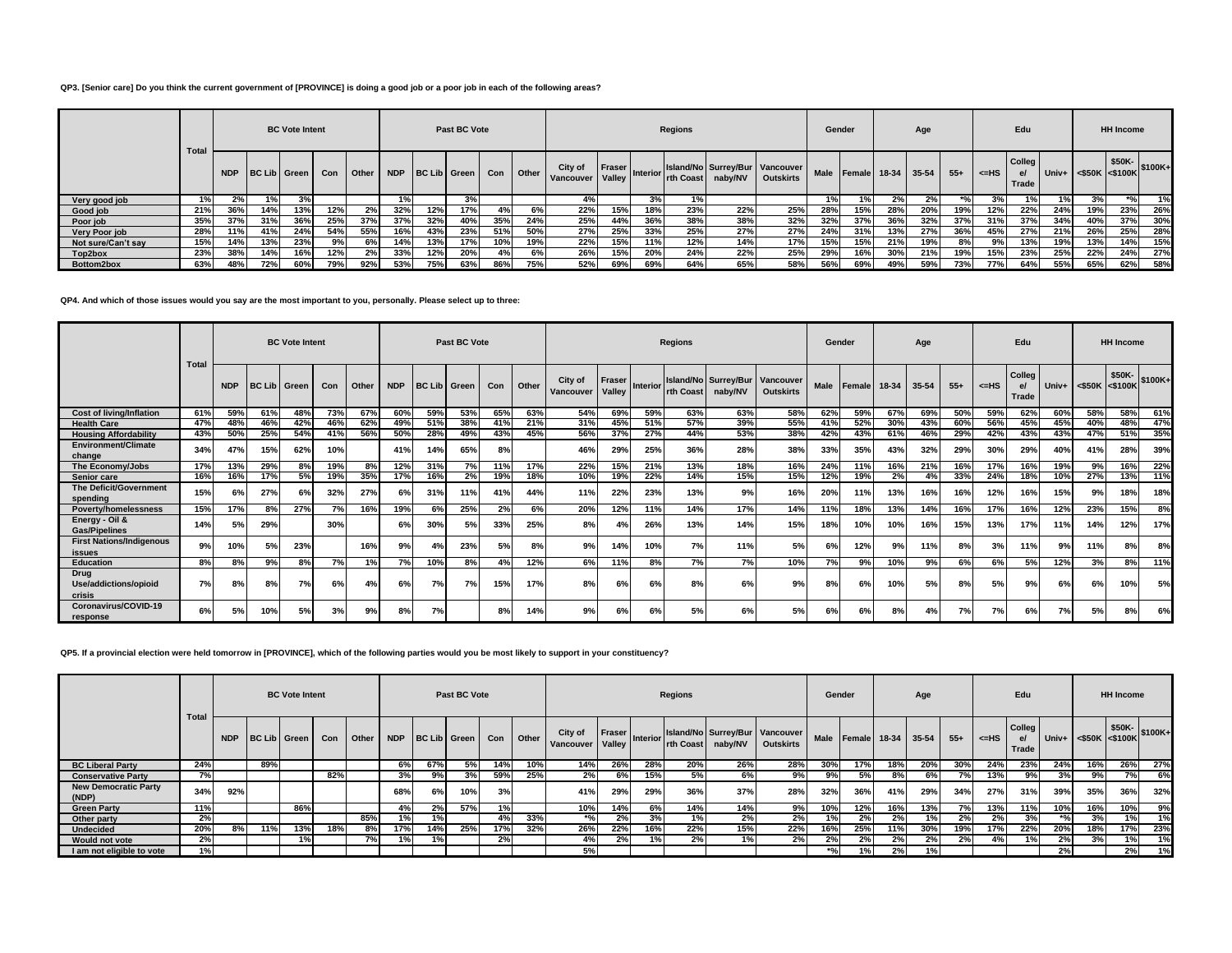## **QP3. [Senior care] Do you think the current government of [PROVINCE] is doing a good job or a poor job in each of the following areas?**

|                    |              |            |                     | <b>BC Vote Intent</b> |     |       |            |     | Past BC Vote |     |       |                      |                  |                 | <b>Regions</b> |         |                                                    | Gender      |                    |     | Age |       |        | Edu                  |                     |                      | <b>HH Income</b> |         |
|--------------------|--------------|------------|---------------------|-----------------------|-----|-------|------------|-----|--------------|-----|-------|----------------------|------------------|-----------------|----------------|---------|----------------------------------------------------|-------------|--------------------|-----|-----|-------|--------|----------------------|---------------------|----------------------|------------------|---------|
|                    | <b>Total</b> | <b>NDP</b> | <b>BC Lib Green</b> |                       | Con | Other | <b>NDP</b> |     | BC Lib Green | Con | Other | City of<br>Vancouver | Fraser<br>Valley | <b>Interior</b> | rth Coast      | naby/NV | Island/No Surrey/Bur Vancouver<br><b>Outskirts</b> | <b>Male</b> | Female 18-34 35-54 |     |     | $55+$ | $=$ HS | Colleg<br>e<br>Trade | Univ+ $\vert \cdot$ | $<$ \$50K $<$ \$100K | \$50K-           | \$100K+ |
| Very good job      |              | 2%         | $1\%$               | 3%                    |     |       | 1%         |     | 3%           |     |       | 4%                   |                  | 3%              |                |         |                                                    |             | 1%                 | 2%  | 2%  | $*0/$ | 3%     |                      |                     | 3%                   | $*0/$            | 1%      |
| Good job           | 21%          | 36%        | 14%                 | 13%                   | 12% | 2%    | 32%        | 12% | 17%          | 4%  | 6%    | 22%                  | 15%              | 18%             | 23%            | 22%     | 25%                                                | 28%         | 15%                | 28% | 20% | 19%   | 12%    | 22%                  | 24%                 | 19%                  | 23%              | 26%     |
| Poor job           | 35%          | 37%        | 31%                 | 36%                   | 25% | 37%   | 37%        | 32% | 40%          | 35% | 24%   | 25%                  | 44%              | 36%             | 38%            | 38%     | 32%                                                | 32%         | 37%                | 36% | 32% | 37%   | 31%    | 37%                  | 34%                 | 40%                  | 37%              | 30%     |
| Very Poor job      | 28%          | 11%        | 41%                 | 24%                   | 54% | 55%   | 16%        | 43% | 23%          | 51% | 50%   | 27%                  | 25%              | 33%             | 25%            | 27%     | 27%                                                | 24%         | 31%                | 13% | 27% | 36%   | 45%    | 27%                  | 21%                 | 26%                  | 25%              | 28%     |
| Not sure/Can't say | 15%          | 14%        | 13%                 | 23%                   | 9%  | 6%    | 14%        | 13% | 17%          | 10% | 19%   | 22%                  | 15%              | 11%             | 12%            | 14%     | 17%                                                | 15%         | 15%                | 21% | 19% | 8%    | 9%     | 13%                  | 19%                 | 13%                  | 14%              | 15%     |
| Top2box            | 23%          | 38%        | 14%                 | 16%                   | 12% | 2%    | 33%        | 12% | 20%          | 4%  | 6%    | 26%                  | 15%              | 20%             | 24%            | 22%     | 25%                                                | 29%         | 16%                | 30% | 21% | 19%   | 15%    | 23%                  | 25%                 | 22%                  | 24%              | 27%     |
| Bottom2box         | 63%          | 48%        | 72%                 | 60%                   | 79% | 92%   | 53%        | 75% | 63%          | 86% | 75%   | 52%                  | 69%              | 69%             | 64%            | 65%     | 58%                                                | 56%         | 69%                | 49% | 59% | 73%   | 77%    | 64%                  | 55%                 | 65%                  | 62%              | 58%     |

## **QP4. And which of those issues would you say are the most important to you, personally. Please select up to three:**

|                                           | Total |            |     | <b>BC Vote Intent</b> |            |       |            |     | Past BC Vote        |     |       |                      |                         |                 | <b>Regions</b>    |                                 |                               | Gender |              |     | Age       |       |      | Edu                  |     |                      | <b>HH Income</b> |         |
|-------------------------------------------|-------|------------|-----|-----------------------|------------|-------|------------|-----|---------------------|-----|-------|----------------------|-------------------------|-----------------|-------------------|---------------------------------|-------------------------------|--------|--------------|-----|-----------|-------|------|----------------------|-----|----------------------|------------------|---------|
|                                           |       | <b>NDP</b> |     | <b>BC Lib</b> Green   | <b>Con</b> | Other | <b>NDP</b> |     | <b>BC Lib</b> Green | Con | Other | City of<br>Vancouver | <b>Fraser</b><br>Valley | <b>Interior</b> | <b>Irth Coast</b> | Island/No Surrey/Bur<br>naby/NV | Vancouver<br><b>Outskirts</b> | Male   | Female 18-34 |     | $35 - 54$ | $55+$ | <=HS | Colleg<br>e<br>Trade |     | Univ+ <\$50K <\$100K | \$50K-           | \$100K+ |
| <b>Cost of living/Inflation</b>           | 61%   | 59%        | 61% | 48%                   | 73%        | 67%   | 60%        | 59% | 53%                 | 65% | 63%   | 54%                  | 69%                     | 59%             | 63%               | 63%                             | 58%                           | 62%    | 59%          | 67% | 69%       | 50%   | 59%  | 62%                  | 60% | 58%                  | 58%              | 61%     |
| <b>Health Care</b>                        | 47%   | 48%        | 46% | 42%                   | 46%        | 62%   | 49%        | 51% | 38%                 | 41% | 21%   | 31%                  | 45%                     | 51%             | 57%               | 39%                             | 55%                           | 41%    | 52%          | 30% | 43%       | 60%   | 56%  | 45%                  | 45% | 40%                  | 48%              | 47%     |
| <b>Housing Affordability</b>              | 43%   | 50%        | 25% | 54%                   | 41%        | 56%   | 50%        | 28% | 49%                 | 43% | 45%   | 56%                  | 37%                     | 27%             | 44%               | 53%                             | 38%                           | 42%    | 43%          | 61% | 46%       | 29%   | 42%  | 43%                  | 43% | 47%                  | 51%              | 35%     |
| Environment/Climate<br>change             | 34%   | 47%        | 15% | 62%                   | 10%        |       | 41%        | 14% | 65%                 | 8%  |       | 46%                  | 29%                     | 25%             | 36%               | 28%                             | 38%                           | 33%    | 35%          | 43% | 32%       | 29%   | 30%  | 29%                  | 40% | 41%                  | 28%              | 39%     |
| The Economy/Jobs                          | 17%   | 13%        | 29% | 8%                    | 19%        | 8%    | 12%        | 31% | 7%                  | 11% | 17%   | 22%                  | 15%                     | 21%             | 13%               | 18%                             | 16%                           | 24%    | 11%          | 16% | 21%       | 16%   | 17%  | 16%                  | 19% | 9%                   | 16%              | 22%     |
| Senior care                               | 16%   | 16%        | 17% | 5%                    | 19%        | 35%   | 17%        | 16% | 2%                  | 19% | 18%   | 10%                  | 19%                     | 22%             | 14%               | 15%                             | 15%                           | 12%    | 19%          | 2%  | 4%        | 33%   | 24%  | 18%                  | 10% | 27%                  | 13%              | 11%     |
| The Deficit/Government<br>spending        | 15%   | 6%         | 27% | 6%                    | 32%        | 27%   | 6%         | 31% | 11%                 | 41% | 44%   | 11%                  | 22%                     | 23%             | 13%               | 9%                              | 16%                           | 20%    | 11%          | 13% | 16%       | 16%   | 12%  | 16%                  | 15% | 9%                   | 18%              | 18%     |
| Poverty/homelessness                      | 15%   | 17%        | 8%  | 27%                   | 7%         | 16%   | 19%        | 6%  | 25%                 | 2%  | 6%    | 20%                  | 12%                     | 11%             | 14%               | 17%                             | 14%                           | 11%    | 18%          | 13% | 14%       | 16%   | 17%  | 16%                  | 12% | 23%                  | 15%              | 8%      |
| Energy - Oil &<br><b>Gas/Pipelines</b>    | 14%   | 5%         | 29% |                       | 30%        |       | 6%         | 30% | 5%                  | 33% | 25%   | 8%                   | 4%                      | 26%             | 13%               | 14%                             | 15%                           | 18%    | 10%          | 10% | 16%       | 15%   | 13%  | 17%                  | 11% | 14%                  | 12%              | 17%     |
| <b>First Nations/Indigenous</b><br>issues | 9%    | 10%        | 5%  | 23%                   |            | 16%   | 9%         | 4%  | 23%                 | 5%  | 8%    | 9%                   | 14%                     | 10%             | 7%                | 11%                             | 5%                            | 6%     | 12%          | 9%  | 11%       | 8%    | 3%   | 11%                  | 9%  | 11%                  | 8%               | 8%      |
| <b>Education</b>                          | 8%    | 8%         | 9%  | 8%                    | 7%         | 1%    | 7%         | 10% | 8%                  |     | 12%   | 6%                   | 11%                     | 8%              | 7%                | 7%                              | 10%                           | 7%     | 9%           | 10% | 9%        | 6%    | 6%   | 5%                   | 12% | 3%                   | 8%               | 11%     |
| Drug<br>Use/addictions/opioid<br>crisis   | 7%    | 8%         | 8%  | 7%                    | 6%         | 4%    | 6%         | 7%  | 7%                  | 15% | 17%   | 8%                   | 6%                      | 6%              | 8%                | 6%                              | 9%                            | 8%     | 6%           | 10% | 5%        | 8%    | 5%   | 9%                   | 6%  | 6%                   | 10%              | 5%      |
| Coronavirus/COVID-19<br>response          | 6%    | 5%         | 10% | 5%                    | 3%         | 9%    | 8%         | 7%  |                     | 8%  | 14%   | 9%                   | 6%                      | 6%              | 5%                | 6%                              | 5%                            | 6%     | 6%           | 8%  | 4%        | 7%    | 7%   | 6%                   | 7%  | 5%                   | 8%               | 6%      |

**QP5. If a provincial election were held tomorrow in [PROVINCE], which of the following parties would you be most likely to support in your constituency?**

|                                      |              |            |              | <b>BC Vote Intent</b> |     |       |     |     | Past BC Vote     |     |       |                      |                    |                       | <b>Regions</b> |         |                                                    | Gender |     |                         | Age |       |            | Edu                   |                                                                                                                         |     | <b>HH Income</b> |     |
|--------------------------------------|--------------|------------|--------------|-----------------------|-----|-------|-----|-----|------------------|-----|-------|----------------------|--------------------|-----------------------|----------------|---------|----------------------------------------------------|--------|-----|-------------------------|-----|-------|------------|-----------------------|-------------------------------------------------------------------------------------------------------------------------|-----|------------------|-----|
|                                      | <b>Total</b> | <b>NDP</b> | BC Lib Green |                       | Con | Other |     |     | NDP BC Lib Green | Con | Other | City of<br>Vancouver | Fraser  <br>Valley | Interior <sup>1</sup> | rth Coast      | naby/NV | Island/No Surrey/Bur Vancouver<br><b>Outskirts</b> |        |     | Male Female 18-34 35-54 |     | $55+$ | $\leq$ -HS | Colleg<br>e.<br>Trade | $\begin{array}{ c c c }\n\hline\n\text{Univ+} & & \text{$50K$} \\ \hline\n\text{Univ+} & & & & & \\\hline\n\end{array}$ |     |                  |     |
| <b>BC Liberal Party</b>              | 24%          |            | 89%          |                       |     |       | 6%  | 67% |                  | 14% | 10%   | 14%                  | 26%                | 28%                   | 20%            | 26%     | 28%                                                | 30%    | 17% | 18%                     | 20% | 30%   | 24%        | 23%                   | 24%                                                                                                                     | 16% | 26%              | 27% |
| <b>Conservative Party</b>            | 7%           |            |              |                       | 82% |       | 3%  | 9%  | 3%               | 59% | 25%   | 2%                   | 6%                 | 15%                   | 5%             | 6%      | 9%                                                 | 9%     | 5%  | 8%                      | 6%  | 7%    | 13%        | 9%                    | 3%                                                                                                                      | 9%  | 7%               | 6%  |
| <b>New Democratic Party</b><br>(NDP) | 34%          | 92%        |              |                       |     |       | 68% | 6%  | 10%              | 3%  |       | 41%                  | 29%                | 29%                   | 36%            | 37%     | 28%                                                | 32%    | 36% | 41%                     | 29% | 34%   | 27%        | 31%                   | 39%                                                                                                                     | 35% | 36%              | 32% |
| <b>Green Party</b>                   | 11%          |            |              | 86%                   |     |       | 4%  | 2%  | 57%              | 1%  |       | 10%                  | 14%                | 6%                    | 14%            | 14%     | 9%                                                 | 10%    | 12% | 16%                     | 13% | 7%    | 13%        | 11%                   | 10%                                                                                                                     | 16% | 10%              | 9%  |
| Other party                          | 2%           |            |              |                       |     | 85%   | 1%  | 1%  |                  | 4%  | 33%   | *%                   | 2%                 | 3%                    | 1%             | 2%      | 2%                                                 | 1%     | 2%  | 2%                      | 1%  | 2%    | 2%         | 3%                    | $*$ %                                                                                                                   | 3%  | 1%               | 1%  |
| <b>Undecided</b>                     | 20%          | 8%         | 11%          | 13%                   | 18% | 8%    | 17% | 14% | 25%              | 17% | 32%   | 26%                  | 22%                | 16%                   | 22%            | 15%     | 22%                                                | 16%    | 25% | 11%                     | 30% | 19%   | 17%        | 22%                   | 20%                                                                                                                     | 18% | 17%              | 23% |
| <b>Would not vote</b>                | 2%           |            |              | 1%                    |     | 7%    | 1%1 | 1%  |                  | 2%  |       | 4%                   | 2%                 |                       | 2%             | 1%      | 2%                                                 | 2%     | 2%  | 2%                      | 2%  | 2%    | 4%         | 1%                    | 2%                                                                                                                      | 3%  | 1%               | 1%  |
| I am not eligible to vote            |              |            |              |                       |     |       |     |     |                  |     |       | 5%                   |                    |                       |                |         |                                                    | $*$ %  | 1%  | 2%                      |     |       |            |                       | 2%                                                                                                                      |     | 2%               | 1%  |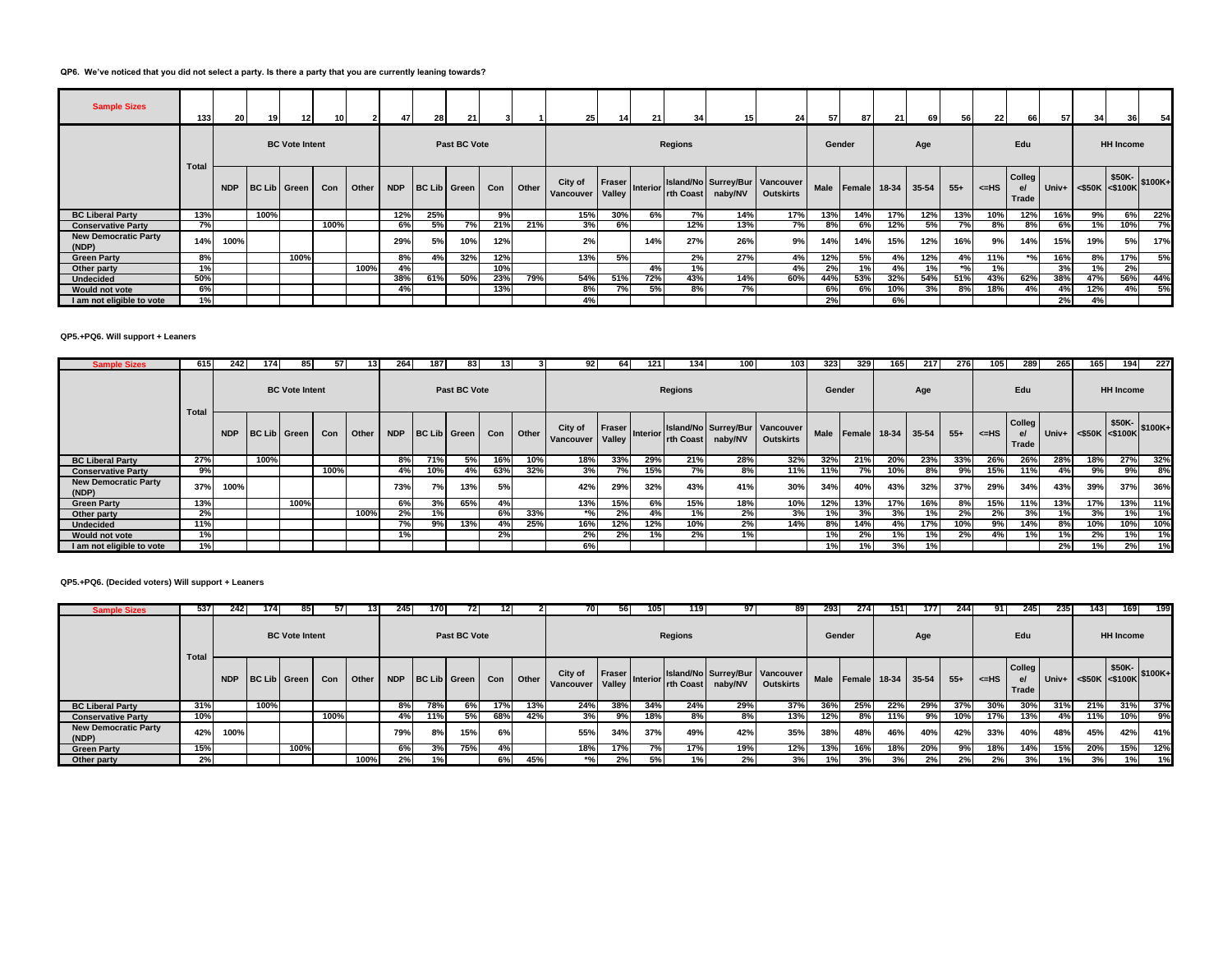## **QP6. We've noticed that you did not select a party. Is there a party that you are currently leaning towards?**

| <b>Sample Sizes</b>                  | 133   | 20         | 19                  | 12 <sup>1</sup>       | 10   |       | 47  | 28  | 21 <sup>1</sup>      |     |       | 25 <sub>1</sub>      | 14               | 21       | 34 <sub>1</sub> | 15      | 24                                                 | 57          | 871 | 21                 | 69  | 56    | 22   | 66                    | 57  | 34                   | 36                              | 54  |
|--------------------------------------|-------|------------|---------------------|-----------------------|------|-------|-----|-----|----------------------|-----|-------|----------------------|------------------|----------|-----------------|---------|----------------------------------------------------|-------------|-----|--------------------|-----|-------|------|-----------------------|-----|----------------------|---------------------------------|-----|
|                                      | Total |            |                     | <b>BC Vote Intent</b> |      |       |     |     | Past BC Vote         |     |       |                      |                  |          | Regions         |         |                                                    | Gender      |     |                    | Age |       |      | Edu                   |     |                      | <b>HH Income</b>                |     |
|                                      |       | <b>NDP</b> | <b>BC Lib</b> Green |                       | Con  | Other |     |     | NDP   BC Lib   Green | Con | Other | City of<br>Vancouver | Fraser<br>Valley | Interior | rth Coast       | naby/NV | Island/No Surrey/Bur Vancouver<br><b>Outskirts</b> | <b>Male</b> |     | Female 18-34 35-54 |     | $55+$ | <=HS | Colleg<br>e/<br>Trade |     | Univ+ <\$50K <\$100K | $\frac{1}{2}$ \$50K-<br>\$100K+ |     |
| <b>BC Liberal Party</b>              | 13%   |            | 100%                |                       |      |       | 12% | 25% |                      | 9%  |       | 15%                  | 30%              | 6%       | 7%              | 14%     | 17%                                                | 13%         | 14% | 17%                | 12% | 13%   | 10%  | 12%                   | 16% | 9%                   | 6%                              | 22% |
| <b>Conservative Party</b>            | 7%    |            |                     |                       | 100% |       | 6%  | 5%  | 7%                   | 21% | 21%   | 3%                   | 6%               |          | 12%             | 13%     | 7%                                                 | 8%          | 6%  | 12%                | 5%  | 7%    | 8%   | 8%                    | 6%  | 1%                   | 10%                             | 7%  |
| <b>New Democratic Party</b><br>(NDP) | 14%   | 100%       |                     |                       |      |       | 29% | 5%  | 10%                  | 12% |       | 2%                   |                  | 14%      | 27%             | 26%     | 9%                                                 | 14%         | 14% | 15%                | 12% | 16%   | 9%   | 14%                   | 15% | 19%                  | 5%                              | 17% |
| <b>Green Party</b>                   | 8%    |            |                     | 100%                  |      |       | 8%  | 4%  | 32%                  | 12% |       | 13%                  | 5%               |          | 2%              | 27%     | 4%                                                 | 12%         | 5%  | 4%                 | 12% | 4%    | 11%  | $*$ %                 | 16% | 8%                   | 17%                             | 5%  |
| Other party                          | 1%    |            |                     |                       |      | 100%  | 4%  |     |                      | 10% |       |                      |                  | 4%       |                 |         | 4%                                                 | 2%          | 1%  | 4%                 | 1%  | $*$ % | 1%   |                       | 3%  | 1%                   | 2%                              |     |
| <b>Undecided</b>                     | 50%   |            |                     |                       |      |       | 38% | 61% | 50%                  | 23% | 79%   | 54%                  | 51%              | 72%      | 43%             | 14%     | 60%                                                | 44%         | 53% | 32%                | 54% | 51%   | 43%  | 62%                   | 38% | 47%                  | 56%                             | 44% |
| Would not vote                       | 6%    |            |                     |                       |      |       | 4%  |     |                      | 13% |       | 8%                   | 70/              | 5%       | 8%              | 7%      |                                                    | 6%          | 6%  | 10%                | 3%  | 8%    | 18%  | 4%                    | 4%  | 12%                  | 4%                              | 5%  |
| I am not eligible to vote            | 1%    |            |                     |                       |      |       |     |     |                      |     |       | 4%                   |                  |          |                 |         |                                                    | 2%          |     | 6%                 |     |       |      |                       | 2%  | 4%                   |                                 |     |

#### **QP5.+PQ6. Will support + Leaners**

| <b>Sample Sizes</b>                  | 615   | 2421       | 1741         | 85 I                  | 571  |       | 264 I      | 187          | 831          | 131 |       | 92.                             | 64 I             | 121 I    | 134       | 100     | 103                                                | 3231        | 329                 | 165 | 217   | 276   | 1051 | 289                   | 265 | 165                  | 194              | 227     |
|--------------------------------------|-------|------------|--------------|-----------------------|------|-------|------------|--------------|--------------|-----|-------|---------------------------------|------------------|----------|-----------|---------|----------------------------------------------------|-------------|---------------------|-----|-------|-------|------|-----------------------|-----|----------------------|------------------|---------|
|                                      | Total |            |              | <b>BC Vote Intent</b> |      |       |            |              | Past BC Vote |     |       |                                 |                  |          | Regions   |         |                                                    | Gender      |                     |     | Age   |       |      | Edu                   |     |                      | <b>HH Income</b> |         |
|                                      |       | <b>NDP</b> | BC Lib Green |                       | Con  | Other | <b>NDP</b> | BC Lib Green |              | Con | Other | City of<br>Vancouver            | Fraser<br>Valley | Interior | rth Coast | naby/NV | Island/No Surrey/Bur Vancouver<br><b>Outskirts</b> | <b>Male</b> | <b>Female</b> 18-34 |     | 35-54 | $55+$ | <=HS | Colleg<br>e/<br>Trade |     | Univ+ <\$50K <\$100K | \$50K-           | \$100K+ |
| <b>BC Liberal Party</b>              | 27%   |            | 100%         |                       |      |       | 8%         | 71%          | 5%           | 16% | 10%   | 18%                             | 33%              | 29%      | 21%       | 28%     | 32%                                                | 32%         | 21%                 | 20% | 23%   | 33%   | 26%  | 26%                   | 28% | 18%                  | 27%              | 32%     |
| <b>Conservative Party</b>            | 9%    |            |              |                       | 100% |       | 4%         | 10%          | 4%           | 63% | 32%   | 3%                              | 7%               | 15%      | 7%        | 8%      | 11%                                                | 11%         | 7%                  | 10% | 8%    | 9%    | 15%  | 11%                   | 4%  | 9%                   | 9%               | 8%      |
| <b>New Democratic Party</b><br>(NDP) | 37%   | 100%       |              |                       |      |       | 73%        | 7%           | 13%          | 5%  |       | 42%                             | 29%              | 32%      | 43%       | 41%     | 30%                                                | 34%         | 40%                 | 43% | 32%   | 37%   | 29%  | 34%                   | 43% | 39%                  | 37%              | 36%     |
| <b>Green Party</b>                   | 13%   |            |              | 100%                  |      |       | 6%         | 3%           | 65%          | 4%  |       | 13%                             | 15%              | 6%       | 15%       | 18%     | 10%                                                | 12%         | 13%                 | 17% | 16%   | 8%    | 15%  | 11%                   | 13% | 17%                  | 13%              | 11%     |
| Other party                          | 2%    |            |              |                       |      | 100%  | 2%         | 1%           |              | 6%  | 33%   | $*$ <sup>o</sup> / <sub>c</sub> | 2%               | 4%       | 1%        | 2%      | 3%                                                 |             | 3%                  | 3%  | 1%    | 2%    | 2%   | 3%                    | 1%  | 3%                   | 1%               |         |
| <b>Undecided</b>                     | 11%   |            |              |                       |      |       | 7%         | 9%           | 13%          | 4%  | 25%   | 16%                             | 12%              | 12%      | 10%       | 2%      | 14%                                                | 8%          | 14%                 | 4%  | 17%   | 10%   | 9%   | 14%                   | 8%  | 10%                  | 10%              | 10%     |
| Would not vote                       | 1%    |            |              |                       |      |       | 1%         |              |              | 2%  |       | 2%                              | 2%               | 1%       | 2%        | 1%      |                                                    | 1%          | 2%                  | 1%  | 1%    | 2%    | 4%   | 1%                    | 1%  | 2%                   | 1%               | 1%      |
| I am not eligible to vote            | 1%    |            |              |                       |      |       |            |              |              |     |       | 6%                              |                  |          |           |         |                                                    | 1% I        |                     | 3%  | 1%    |       |      |                       | 2%  | 1%                   | 2%               | 1%      |

## **QP5.+PQ6. (Decided voters) Will support + Leaners**

| <b>Sample Sizes</b>                  | 537   | 242        | 1741                | 85                    | 571  | 131   | 245        | 170.         | 72 I         | 121 |       | 70 I                      | 561              | 105             | 119              | 97 I    | 89                                                 | 293         | 274          | 151 | 177       | 244   | 91 I   | 245                     | 235 | 1431 | 169                            | 199       |
|--------------------------------------|-------|------------|---------------------|-----------------------|------|-------|------------|--------------|--------------|-----|-------|---------------------------|------------------|-----------------|------------------|---------|----------------------------------------------------|-------------|--------------|-----|-----------|-------|--------|-------------------------|-----|------|--------------------------------|-----------|
|                                      | Total |            |                     | <b>BC Vote Intent</b> |      |       |            |              | Past BC Vote |     |       |                           |                  |                 | <b>Regions</b>   |         |                                                    | Gender      |              |     | Age       |       |        | Edu                     |     |      | <b>HH Income</b>               |           |
|                                      |       | <b>NDP</b> | <b>BC Lib Green</b> |                       | Con  | Other | <b>NDP</b> | BC Lib Green |              | Con | Other | City of<br>Vancouver      | Fraser<br>Valley | <b>Interior</b> | <b>rth Coast</b> | naby/NV | Island/No Surrey/Bur Vancouver<br><b>Outskirts</b> | <b>Male</b> | Female 18-34 |     | $35 - 54$ | $55+$ | $=$ HS | Colleg  <br>e/<br>Trade |     |      | \$50K-<br>Univ+ <\$50K <\$100K | $ $100K+$ |
| <b>BC Liberal Party</b>              | 31%   |            | 100%                |                       |      |       | 8%         | 78%          | 6%           | 17% | 13%   | 24%                       | 38%              | 34%             | 24%              | 29%     | 37%                                                | 36%         | 25%          | 22% | 29%       | 37%   | 30%    | 30%                     | 31% | 21%  | 31%                            | 37%       |
| <b>Conservative Party</b>            | 10%   |            |                     |                       | 100% |       | 4%         | 11%          | 5%           | 68% | 42%   | 3%                        | 9%               | 18%             | 8%               | 8%      | 13%                                                | 12%         | 8%           | 11% | 9%        | 10%   | 17%    | 13%                     | 4%  | 11%  | 10%                            | 9%        |
| <b>New Democratic Party</b><br>(NDP) | 42%   | 100%       |                     |                       |      |       | 79%        | 8%           | 15%          | 6%  |       | 55%                       | 34%              | 37%             | 49%              | 42%     | 35%                                                | 38%         | 48%          | 46% | 40%       | 42%   | 33%    | 40%                     | 48% | 45%  | 42%                            | 41%       |
| <b>Green Party</b>                   | 15%   |            |                     | 100%                  |      |       | 6%         | 3%           | 75%          |     |       | 18%                       | 17%              | 7%.             | 17%              | 19%     | 12%                                                | 13%         | 16%          | 18% | 20%       | 9%    | 18%    | 14%                     | 15% | 20%  | 15%                            | 12%       |
| Other party                          | 2%    |            |                     |                       |      | 100%  | 2%         | 1%           |              | 6%  | 45%   | $*$ <sup>o</sup> / $\sim$ | 2%               | 5%              |                  | 2%      | 3%                                                 |             | 3%           | 3%  | 2%        |       |        | 3%                      | 1%  | 3%   |                                | 1%        |